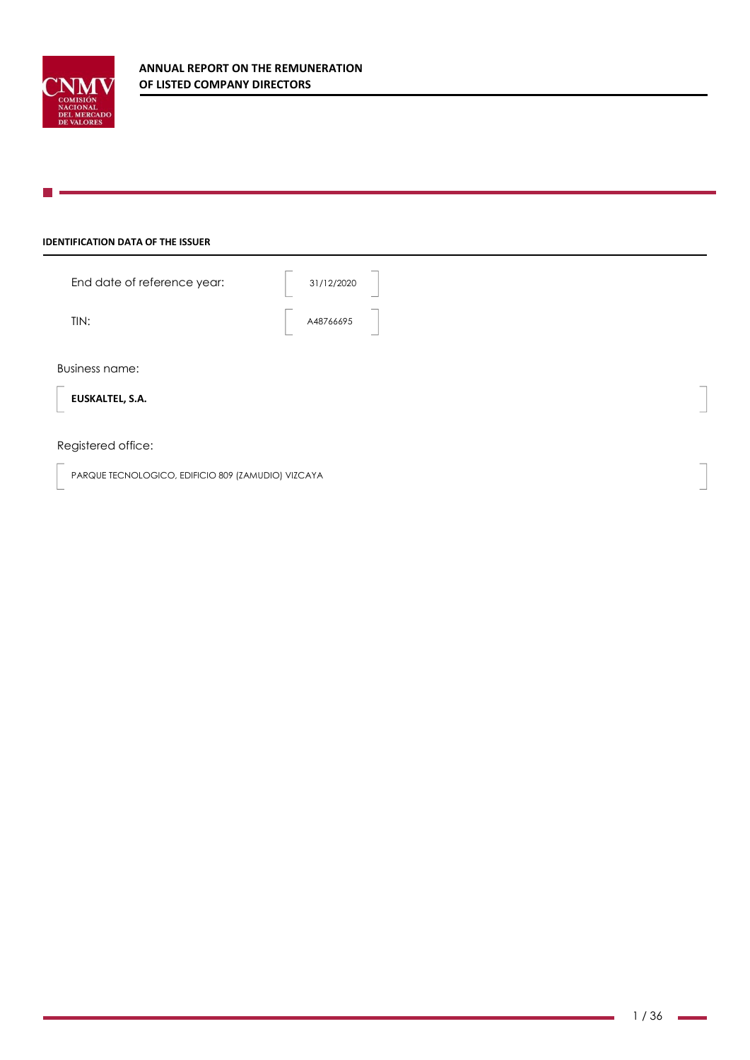

## **IDENTIFICATION DATA OF THE ISSUER**

| End date of reference year:                 | 31/12/2020<br>_                       |                          |
|---------------------------------------------|---------------------------------------|--------------------------|
| TIN:                                        | $\overline{\phantom{a}}$<br>A48766695 |                          |
| <b>Business name:</b>                       |                                       |                          |
| $\overline{\phantom{a}}$<br>EUSKALTEL, S.A. |                                       | $\overline{\phantom{a}}$ |

## Registered office:

PARQUE TECNOLOGICO, EDIFICIO 809 (ZAMUDIO) VIZCAYA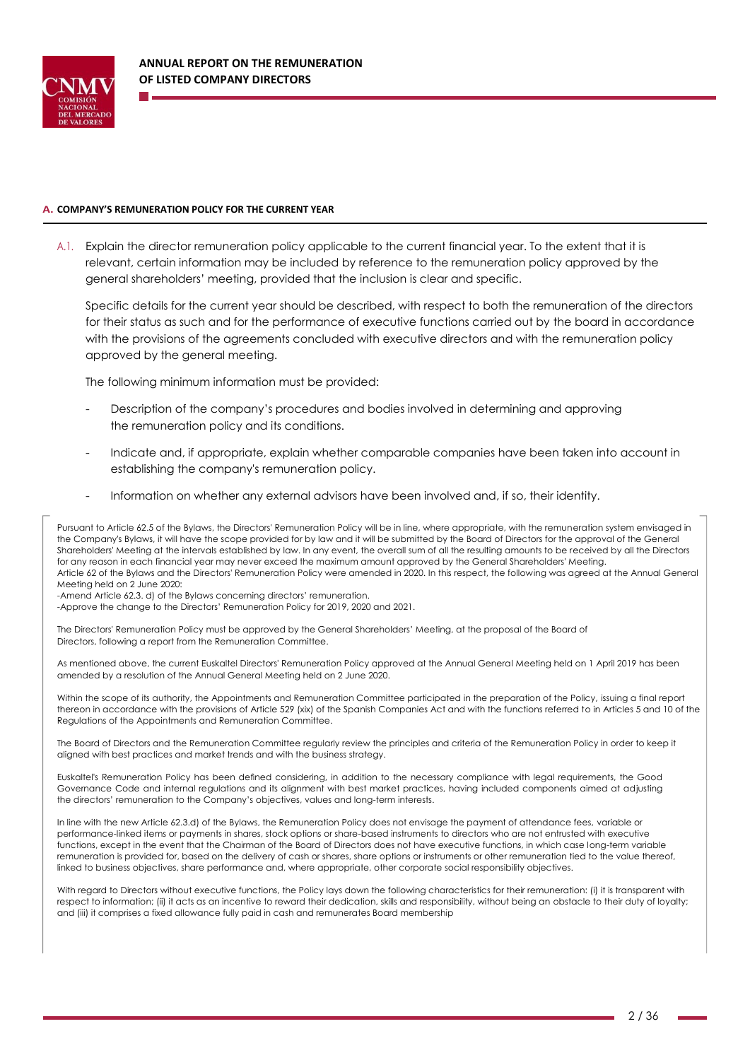

#### **A. COMPANY'S REMUNERATION POLICY FOR THE CURRENT YEAR**

A.1. Explain the director remuneration policy applicable to the current financial year. To the extent that it is relevant, certain information may be included by reference to the remuneration policy approved by the general shareholders' meeting, provided that the inclusion is clear and specific.

Specific details for the current year should be described, with respect to both the remuneration of the directors for their status as such and for the performance of executive functions carried out by the board in accordance with the provisions of the agreements concluded with executive directors and with the remuneration policy approved by the general meeting.

The following minimum information must be provided:

- Description of the company's procedures and bodies involved in determining and approving the remuneration policy and its conditions.
- Indicate and, if appropriate, explain whether comparable companies have been taken into account in establishing the company's remuneration policy.
- Information on whether any external advisors have been involved and, if so, their identity.

Pursuant to Article 62.5 of the Bylaws, the Directors' Remuneration Policy will be in line, where appropriate, with the remuneration system envisaged in the Company's Bylaws, it will have the scope provided for by law and it will be submitted by the Board of Directors for the approval of the General Shareholders' Meeting at the intervals established by law. In any event, the overall sum of all the resulting amounts to be received by all the Directors for any reason in each financial year may never exceed the maximum amount approved by the General Shareholders' Meeting. Article 62 of the Bylaws and the Directors' Remuneration Policy were amended in 2020. In this respect, the following was agreed at the Annual General Meeting held on 2 June 2020:

-Amend Article 62.3. d) of the Bylaws concerning directors' remuneration.

-Approve the change to the Directors' Remuneration Policy for 2019, 2020 and 2021.

The Directors' Remuneration Policy must be approved by the General Shareholders' Meeting, at the proposal of the Board of Directors, following a report from the Remuneration Committee.

As mentioned above, the current Euskaltel Directors' Remuneration Policy approved at the Annual General Meeting held on 1 April 2019 has been amended by a resolution of the Annual General Meeting held on 2 June 2020.

Within the scope of its authority, the Appointments and Remuneration Committee participated in the preparation of the Policy, issuing a final report thereon in accordance with the provisions of Article 529 (xix) of the Spanish Companies Act and with the functions referred to in Articles 5 and 10 of the Regulations of the Appointments and Remuneration Committee.

The Board of Directors and the Remuneration Committee regularly review the principles and criteria of the Remuneration Policy in order to keep it aligned with best practices and market trends and with the business strategy.

Euskaltel's Remuneration Policy has been defined considering, in addition to the necessary compliance with legal requirements, the Good Governance Code and internal regulations and its alignment with best market practices, having included components aimed at adjusting the directors' remuneration to the Company's objectives, values and long-term interests.

In line with the new Article 62.3.d) of the Bylaws, the Remuneration Policy does not envisage the payment of attendance fees, variable or performance-linked items or payments in shares, stock options or share-based instruments to directors who are not entrusted with executive functions, except in the event that the Chairman of the Board of Directors does not have executive functions, in which case long-term variable remuneration is provided for, based on the delivery of cash or shares, share options or instruments or other remuneration tied to the value thereof, linked to business objectives, share performance and, where appropriate, other corporate social responsibility objectives.

With regard to Directors without executive functions, the Policy lays down the following characteristics for their remuneration: (i) it is transparent with respect to information; (ii) it acts as an incentive to reward their dedication, skills and responsibility, without being an obstacle to their duty of loyalty; and (iii) it comprises a fixed allowance fully paid in cash and remunerates Board membership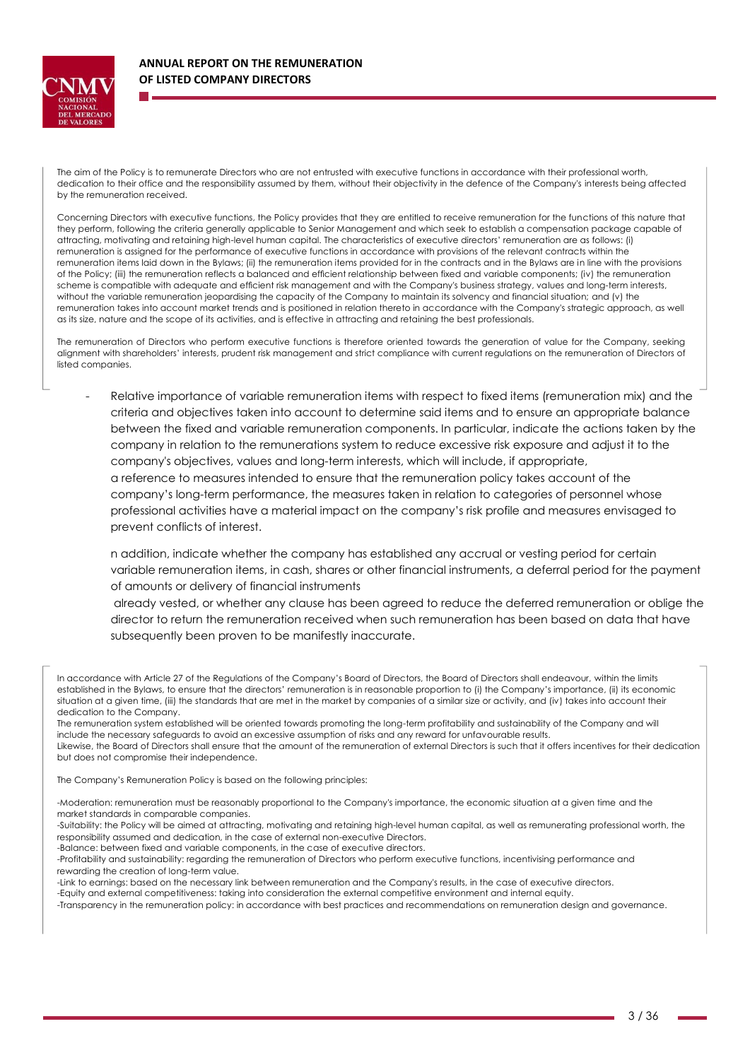

The aim of the Policy is to remunerate Directors who are not entrusted with executive functions in accordance with their professional worth, dedication to their office and the responsibility assumed by them, without their objectivity in the defence of the Company's interests being affected by the remuneration received.

Concerning Directors with executive functions, the Policy provides that they are entitled to receive remuneration for the functions of this nature that they perform, following the criteria generally applicable to Senior Management and which seek to establish a compensation package capable of attracting, motivating and retaining high-level human capital. The characteristics of executive directors' remuneration are as follows: (i) remuneration is assigned for the performance of executive functions in accordance with provisions of the relevant contracts within the remuneration items laid down in the Bylaws; (ii) the remuneration items provided for in the contracts and in the Bylaws are in line with the provisions of the Policy; (iii) the remuneration reflects a balanced and efficient relationship between fixed and variable components; (iv) the remuneration scheme is compatible with adequate and efficient risk management and with the Company's business strategy, values and long-term interests, without the variable remuneration jeopardising the capacity of the Company to maintain its solvency and financial situation; and (v) the remuneration takes into account market trends and is positioned in relation thereto in accordance with the Company's strategic approach, as well as its size, nature and the scope of its activities, and is effective in attracting and retaining the best professionals.

The remuneration of Directors who perform executive functions is therefore oriented towards the generation of value for the Company, seeking alignment with shareholders' interests, prudent risk management and strict compliance with current regulations on the remuneration of Directors of listed companies.

Relative importance of variable remuneration items with respect to fixed items (remuneration mix) and the criteria and objectives taken into account to determine said items and to ensure an appropriate balance between the fixed and variable remuneration components. In particular, indicate the actions taken by the company in relation to the remunerations system to reduce excessive risk exposure and adjust it to the company's objectives, values and long-term interests, which will include, if appropriate, a reference to measures intended to ensure that the remuneration policy takes account of the company's long-term performance, the measures taken in relation to categories of personnel whose professional activities have a material impact on the company's risk profile and measures envisaged to prevent conflicts of interest.

n addition, indicate whether the company has established any accrual or vesting period for certain variable remuneration items, in cash, shares or other financial instruments, a deferral period for the payment of amounts or delivery of financial instruments

already vested, or whether any clause has been agreed to reduce the deferred remuneration or oblige the director to return the remuneration received when such remuneration has been based on data that have subsequently been proven to be manifestly inaccurate.

The remuneration system established will be oriented towards promoting the long-term profitability and sustainability of the Company and will include the necessary safeguards to avoid an excessive assumption of risks and any reward for unfavourable results. Likewise, the Board of Directors shall ensure that the amount of the remuneration of external Directors is such that it offers incentives for their dedication but does not compromise their independence.

The Company's Remuneration Policy is based on the following principles:

- -Moderation: remuneration must be reasonably proportional to the Company's importance, the economic situation at a given time and the market standards in comparable companies.
- -Suitability: the Policy will be aimed at attracting, motivating and retaining high-level human capital, as well as remunerating professional worth, the responsibility assumed and dedication, in the case of external non-executive Directors.

-Balance: between fixed and variable components, in the case of executive directors.

-Profitability and sustainability: regarding the remuneration of Directors who perform executive functions, incentivising performance and rewarding the creation of long-term value.

-Link to earnings: based on the necessary link between remuneration and the Company's results, in the case of executive directors.

-Equity and external competitiveness: taking into consideration the external competitive environment and internal equity.

-Transparency in the remuneration policy: in accordance with best practices and recommendations on remuneration design and governance.

In accordance with Article 27 of the Regulations of the Company's Board of Directors, the Board of Directors shall endeavour, within the limits established in the Bylaws, to ensure that the directors' remuneration is in reasonable proportion to (i) the Company's importance, (ii) its economic situation at a given time, (iii) the standards that are met in the market by companies of a similar size or activity, and (iv) takes into account their dedication to the Company.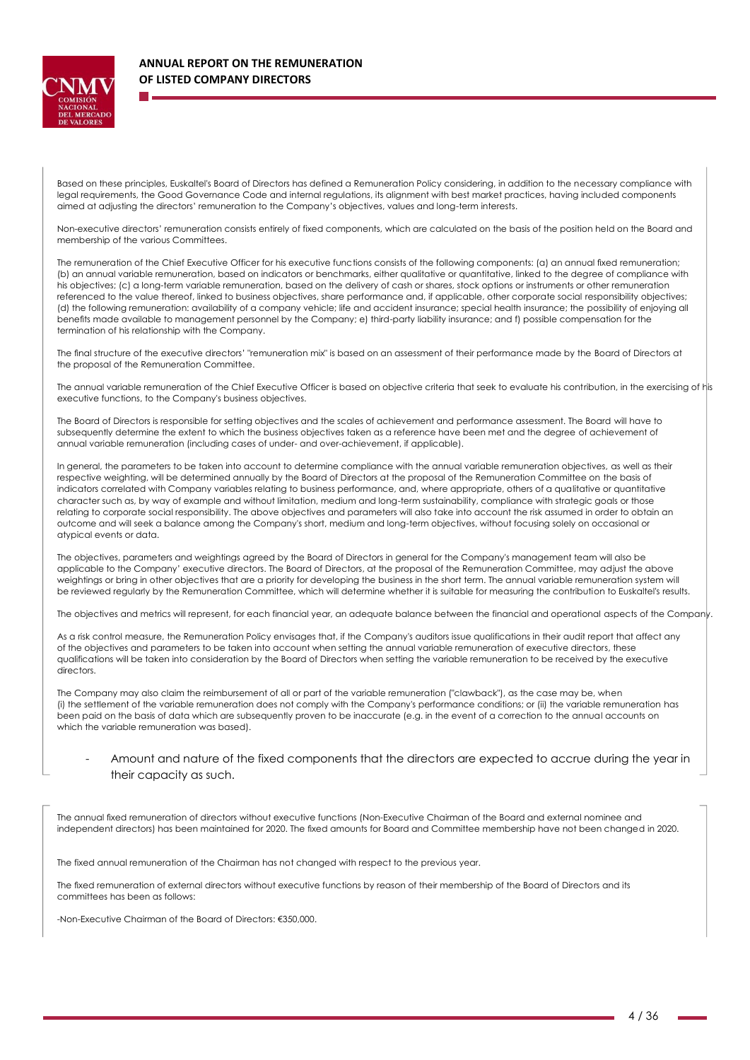

Based on these principles, Euskaltel's Board of Directors has defined a Remuneration Policy considering, in addition to the necessary compliance with legal requirements, the Good Governance Code and internal regulations, its alignment with best market practices, having included components aimed at adjusting the directors' remuneration to the Company's objectives, values and long-term interests.

Non-executive directors' remuneration consists entirely of fixed components, which are calculated on the basis of the position held on the Board and membership of the various Committees.

The remuneration of the Chief Executive Officer for his executive functions consists of the following components: (a) an annual fixed remuneration; (b) an annual variable remuneration, based on indicators or benchmarks, either qualitative or quantitative, linked to the degree of compliance with his objectives; (c) a long-term variable remuneration, based on the delivery of cash or shares, stock options or instruments or other remuneration referenced to the value thereof, linked to business objectives, share performance and, if applicable, other corporate social responsibility objectives; (d) the following remuneration: availability of a company vehicle; life and accident insurance; special health insurance; the possibility of enjoying all benefits made available to management personnel by the Company; e) third-party liability insurance; and f) possible compensation for the termination of his relationship with the Company.

The final structure of the executive directors' "remuneration mix" is based on an assessment of their performance made by the Board of Directors at the proposal of the Remuneration Committee.

The annual variable remuneration of the Chief Executive Officer is based on objective criteria that seek to evaluate his contribution, in the exercising of his executive functions, to the Company's business objectives.

The Board of Directors is responsible for setting objectives and the scales of achievement and performance assessment. The Board will have to subsequently determine the extent to which the business objectives taken as a reference have been met and the degree of achievement of annual variable remuneration (including cases of under- and over-achievement, if applicable).

In general, the parameters to be taken into account to determine compliance with the annual variable remuneration objectives, as well as their respective weighting, will be determined annually by the Board of Directors at the proposal of the Remuneration Committee on the basis of indicators correlated with Company variables relating to business performance, and, where appropriate, others of a qualitative or quantitative character such as, by way of example and without limitation, medium and long-term sustainability, compliance with strategic goals or those relating to corporate social responsibility. The above objectives and parameters will also take into account the risk assumed in order to obtain an outcome and will seek a balance among the Company's short, medium and long-term objectives, without focusing solely on occasional or atypical events or data.

The objectives, parameters and weightings agreed by the Board of Directors in general for the Company's management team will also be applicable to the Company' executive directors. The Board of Directors, at the proposal of the Remuneration Committee, may adjust the above weightings or bring in other objectives that are a priority for developing the business in the short term. The annual variable remuneration system will be reviewed regularly by the Remuneration Committee, which will determine whether it is suitable for measuring the contribution to Euskaltel's results.

The objectives and metrics will represent, for each financial year, an adequate balance between the financial and operational aspects of the Company.

As a risk control measure, the Remuneration Policy envisages that, if the Company's auditors issue qualifications in their audit report that affect any of the objectives and parameters to be taken into account when setting the annual variable remuneration of executive directors, these qualifications will be taken into consideration by the Board of Directors when setting the variable remuneration to be received by the executive directors.

The Company may also claim the reimbursement of all or part of the variable remuneration ("clawback"), as the case may be, when (i) the settlement of the variable remuneration does not comply with the Company's performance conditions; or (ii) the variable remuneration has been paid on the basis of data which are subsequently proven to be inaccurate (e.g. in the event of a correction to the annual accounts on which the variable remuneration was based).

### Amount and nature of the fixed components that the directors are expected to accrue during the year in their capacity as such.

The annual fixed remuneration of directors without executive functions (Non-Executive Chairman of the Board and external nominee and independent directors) has been maintained for 2020. The fixed amounts for Board and Committee membership have not been changed in 2020.

The fixed annual remuneration of the Chairman has not changed with respect to the previous year.

The fixed remuneration of external directors without executive functions by reason of their membership of the Board of Directors and its committees has been as follows:

-Non-Executive Chairman of the Board of Directors: €350,000.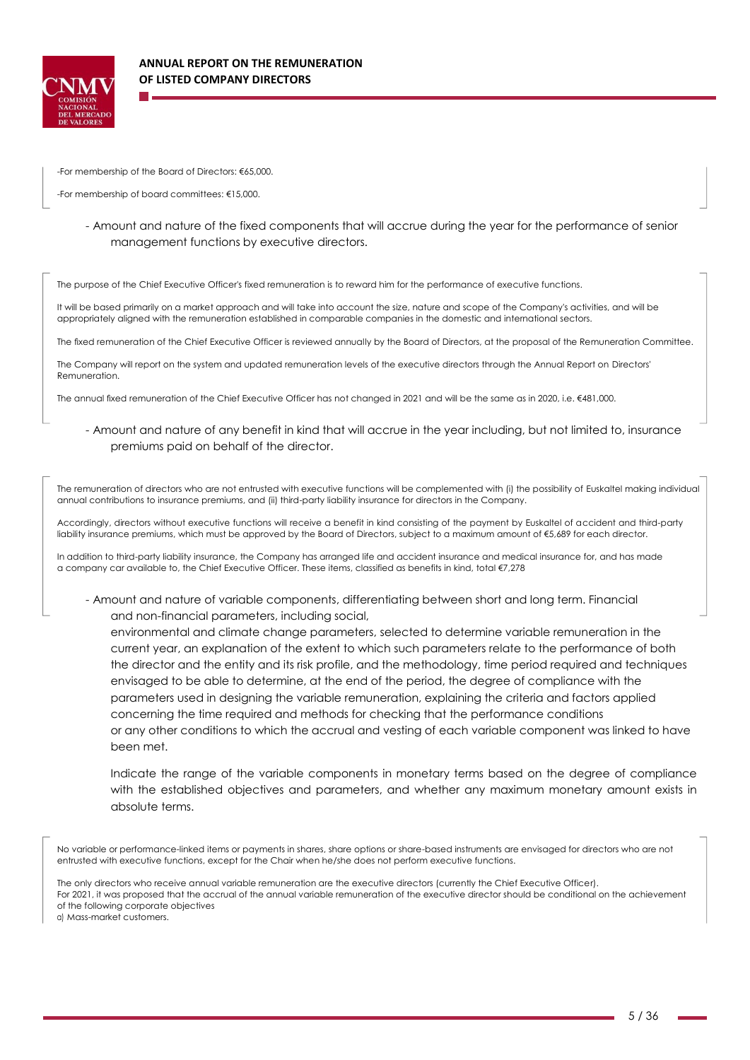

-For membership of the Board of Directors: €65,000.

-For membership of board committees: €15,000.

- Amount and nature of the fixed components that will accrue during the year for the performance of senior management functions by executive directors.

The purpose of the Chief Executive Officer's fixed remuneration is to reward him for the performance of executive functions.

It will be based primarily on a market approach and will take into account the size, nature and scope of the Company's activities, and will be appropriately aligned with the remuneration established in comparable companies in the domestic and international sectors.

The fixed remuneration of the Chief Executive Officer is reviewed annually by the Board of Directors, at the proposal of the Remuneration Committee.

The Company will report on the system and updated remuneration levels of the executive directors through the Annual Report on Directors' Remuneration.

The annual fixed remuneration of the Chief Executive Officer has not changed in 2021 and will be the same as in 2020, i.e. €481,000.

- Amount and nature of any benefit in kind that will accrue in the year including, but not limited to, insurance premiums paid on behalf of the director.

The remuneration of directors who are not entrusted with executive functions will be complemented with (i) the possibility of Euskaltel making individual annual contributions to insurance premiums, and (ii) third-party liability insurance for directors in the Company.

Accordingly, directors without executive functions will receive a benefit in kind consisting of the payment by Euskaltel of accident and third-party liability insurance premiums, which must be approved by the Board of Directors, subject to a maximum amount of €5,689 for each director.

In addition to third-party liability insurance, the Company has arranged life and accident insurance and medical insurance for, and has made a company car available to, the Chief Executive Officer. These items, classified as benefits in kind, total €7,278

- Amount and nature of variable components, differentiating between short and long term. Financial and non-financial parameters, including social,

environmental and climate change parameters, selected to determine variable remuneration in the current year, an explanation of the extent to which such parameters relate to the performance of both the director and the entity and its risk profile, and the methodology, time period required and techniques envisaged to be able to determine, at the end of the period, the degree of compliance with the parameters used in designing the variable remuneration, explaining the criteria and factors applied concerning the time required and methods for checking that the performance conditions or any other conditions to which the accrual and vesting of each variable component was linked to have been met.

Indicate the range of the variable components in monetary terms based on the degree of compliance with the established objectives and parameters, and whether any maximum monetary amount exists in absolute terms.

No variable or performance-linked items or payments in shares, share options or share-based instruments are envisaged for directors who are not entrusted with executive functions, except for the Chair when he/she does not perform executive functions.

The only directors who receive annual variable remuneration are the executive directors (currently the Chief Executive Officer). For 2021, it was proposed that the accrual of the annual variable remuneration of the executive director should be conditional on the achievement of the following corporate objectives

a) Mass-market customers.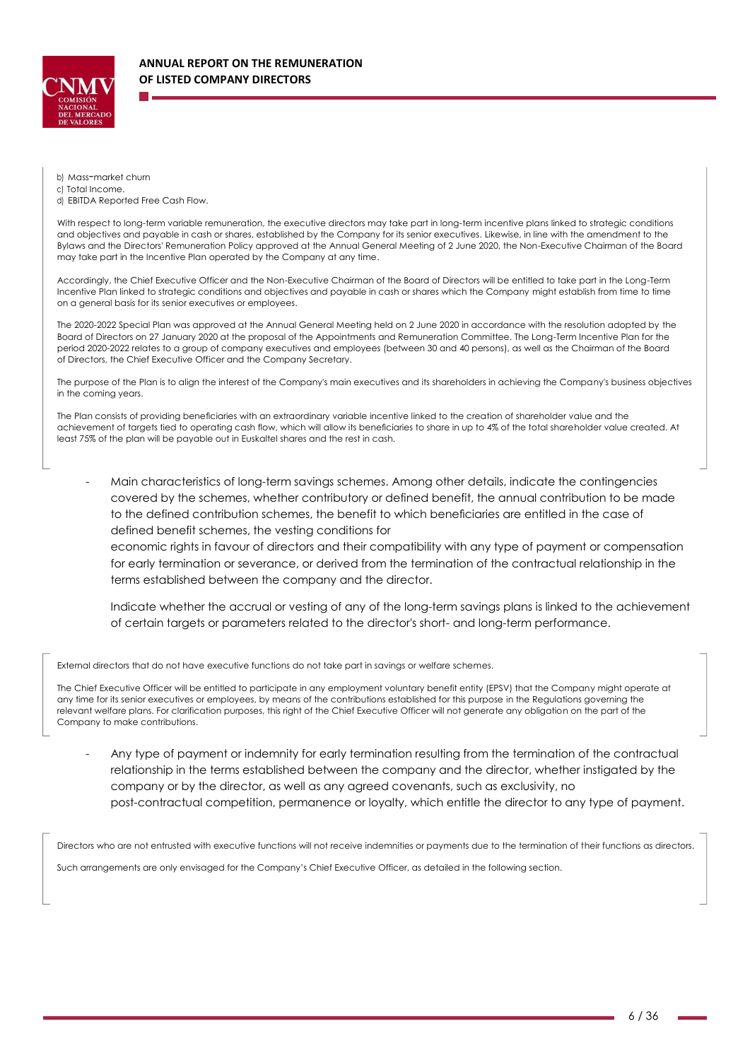

b) Mass-market churn

c) Total Income.

d) EBITDA Reported Free Cash Flow.

With respect to long-term variable remuneration, the executive directors may take part in long-term incentive plans linked to strategic conditions and objectives and payable in cash or shares, established by the Company for its senior executives. Likewise, in line with the amendment to the Bylaws and the Directors' Remuneration Policy approved at the Annual General Meeting of 2 June 2020, the Non-Executive Chairman of the Board may take part in the Incentive Plan operated by the Company at any time.

Accordingly, the Chief Executive Officer and the Non-Executive Chairman of the Board of Directors will be entitled to take part in the Long-Term Incentive Plan linked to strategic conditions and objectives and payable in cash or shares which the Company might establish from time to time on a general basis for its senior executives or employees.

The 2020-2022 Special Plan was approved at the Annual General Meeting held on 2 June 2020 in accordance with the resolution adopted by the Board of Directors on 27 January 2020 at the proposal of the Appointments and Remuneration Committee. The Long-Term Incentive Plan for the period 2020-2022 relates to a group of company executives and employees (between 30 and 40 persons), as well as the Chairman of the Board of Directors, the Chief Executive Officer and the Company Secretary.

The purpose of the Plan is to align the interest of the Company's main executives and its shareholders in achieving the Company's business objectives in the coming years.

The Plan consists of providing beneficiaries with an extraordinary variable incentive linked to the creation of shareholder value and the achievement of targets tied to operating cash flow, which will allow its beneficiaries to share in up to 4% of the total shareholder value created. At least 75% of the plan will be payable out in Euskaltel shares and the rest in cash.

- Main characteristics of long-term savings schemes. Among other details, indicate the contingencies covered by the schemes, whether contributory or defined benefit, the annual contribution to be made to the defined contribution schemes, the benefit to which beneficiaries are entitled in the case of defined benefit schemes, the vesting conditions for

economic rights in favour of directors and their compatibility with any type of payment or compensation for early termination or severance, or derived from the termination of the contractual relationship in the terms established between the company and the director.

Indicate whether the accrual or vesting of any of the long-term savings plans is linked to the achievement of certain targets or parameters related to the director's short- and long-term performance.

External directors that do not have executive functions do not take part in savings or welfare schemes.

The Chief Executive Officer will be entitled to participate in any employment voluntary benefit entity (EPSV) that the Company might operate at any time for its senior executives or employees, by means of the contributions established for this purpose in the Regulations governing the relevant welfare plans. For clarification purposes, this right of the Chief Executive Officer will not generate any obligation on the part of the Company to make contributions.

Any type of payment or indemnity for early termination resulting from the termination of the contractual relationship in the terms established between the company and the director, whether instigated by the company or by the director, as well as any agreed covenants, such as exclusivity, no post-contractual competition, permanence or loyalty, which entitle the director to any type of payment.

Directors who are not entrusted with executive functions will not receive indemnities or payments due to the termination of their functions as directors. Such arrangements are only envisaged for the Company's Chief Executive Officer, as detailed in the following section.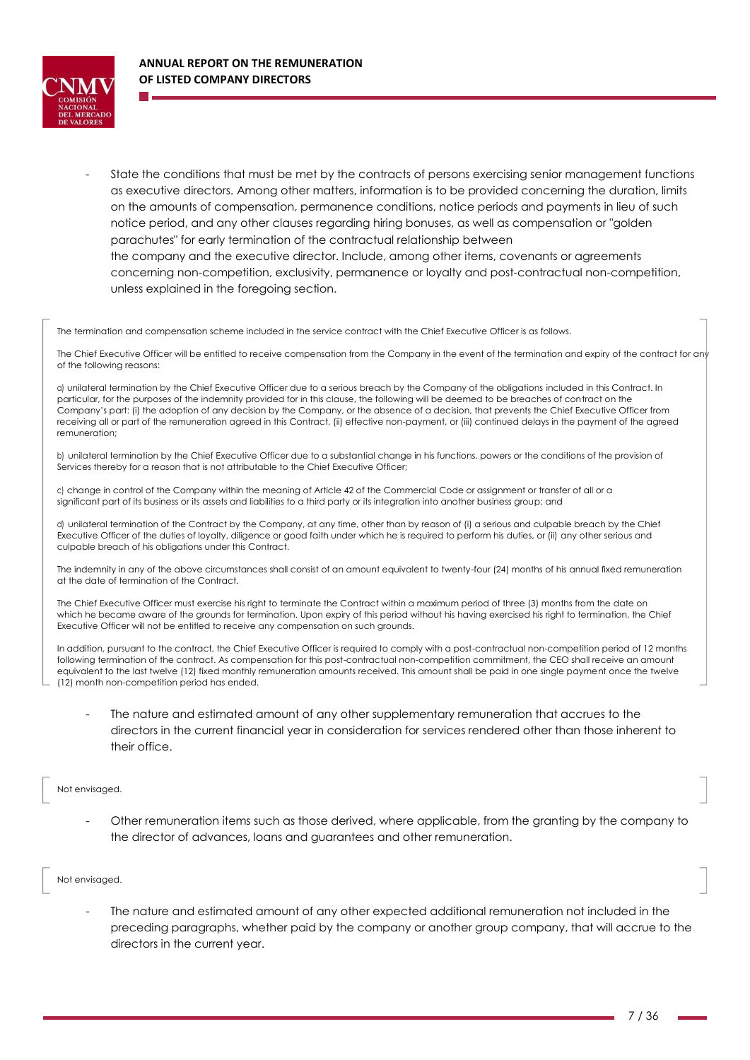

State the conditions that must be met by the contracts of persons exercising senior management functions as executive directors. Among other matters, information is to be provided concerning the duration, limits on the amounts of compensation, permanence conditions, notice periods and payments in lieu of such notice period, and any other clauses regarding hiring bonuses, as well as compensation or "golden parachutes" for early termination of the contractual relationship between the company and the executive director. Include, among other items, covenants or agreements concerning non-competition, exclusivity, permanence or loyalty and post-contractual non-competition, unless explained in the foregoing section.

The termination and compensation scheme included in the service contract with the Chief Executive Officer is as follows.

The Chief Executive Officer will be entitled to receive compensation from the Company in the event of the termination and expiry of the contract for any of the following reasons:

a) unilateral termination by the Chief Executive Officer due to a serious breach by the Company of the obligations included in this Contract. In particular, for the purposes of the indemnity provided for in this clause, the following will be deemed to be breaches of contract on the Company's part: (i) the adoption of any decision by the Company, or the absence of a decision, that prevents the Chief Executive Officer from receiving all or part of the remuneration agreed in this Contract, (ii) effective non-payment, or (iii) continued delays in the payment of the agreed remuneration;

b) unilateral termination by the Chief Executive Officer due to a substantial change in his functions, powers or the conditions of the provision of Services thereby for a reason that is not attributable to the Chief Executive Officer;

c) change in control of the Company within the meaning of Article 42 of the Commercial Code or assignment or transfer of all or a significant part of its business or its assets and liabilities to a third party or its integration into another business group; and

d) unilateral termination of the Contract by the Company, at any time, other than by reason of (i) a serious and culpable breach by the Chief Executive Officer of the duties of loyalty, diligence or good faith under which he is required to perform his duties, or (ii) any other serious and culpable breach of his obligations under this Contract.

The indemnity in any of the above circumstances shall consist of an amount equivalent to twenty-four (24) months of his annual fixed remuneration at the date of termination of the Contract.

The Chief Executive Officer must exercise his right to terminate the Contract within a maximum period of three (3) months from the date on which he became aware of the grounds for termination. Upon expiry of this period without his having exercised his right to termination, the Chief Executive Officer will not be entitled to receive any compensation on such grounds.

In addition, pursuant to the contract, the Chief Executive Officer is required to comply with a post-contractual non-competition period of 12 months following termination of the contract. As compensation for this post-contractual non-competition commitment, the CEO shall receive an amount equivalent to the last twelve (12) fixed monthly remuneration amounts received. This amount shall be paid in one single payment once the twelve (12) month non-competition period has ended.

The nature and estimated amount of any other supplementary remuneration that accrues to the directors in the current financial year in consideration for services rendered other than those inherent to their office.

#### Not envisaged.

Other remuneration items such as those derived, where applicable, from the granting by the company to the director of advances, loans and guarantees and other remuneration.

#### Not envisaged.

The nature and estimated amount of any other expected additional remuneration not included in the preceding paragraphs, whether paid by the company or another group company, that will accrue to the directors in the current year.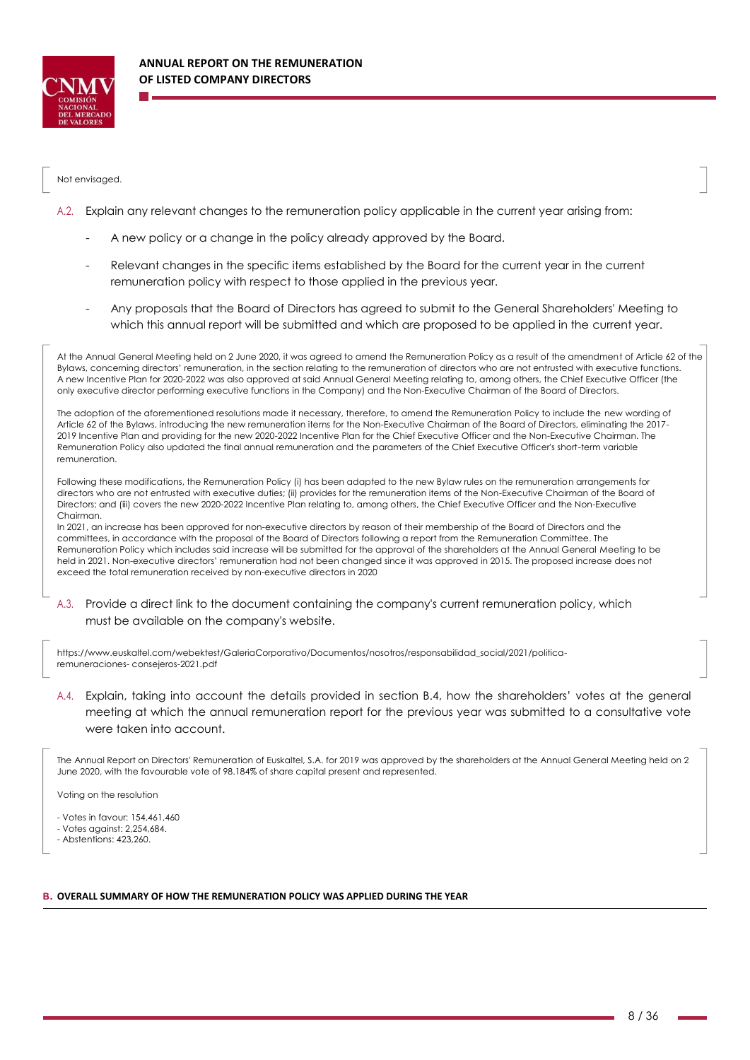

### Not envisaged.

- A.2. Explain any relevant changes to the remuneration policy applicable in the current year arising from:
	- A new policy or a change in the policy already approved by the Board.
	- Relevant changes in the specific items established by the Board for the current year in the current remuneration policy with respect to those applied in the previous year.
	- Any proposals that the Board of Directors has agreed to submit to the General Shareholders' Meeting to which this annual report will be submitted and which are proposed to be applied in the current year.

At the Annual General Meeting held on 2 June 2020, it was agreed to amend the Remuneration Policy as a result of the amendment of Article 62 of the Bylaws, concerning directors' remuneration, in the section relating to the remuneration of directors who are not entrusted with executive functions. A new Incentive Plan for 2020-2022 was also approved at said Annual General Meeting relating to, among others, the Chief Executive Officer (the only executive director performing executive functions in the Company) and the Non-Executive Chairman of the Board of Directors.

The adoption of the aforementioned resolutions made it necessary, therefore, to amend the Remuneration Policy to include the new wording of Article 62 of the Bylaws, introducing the new remuneration items for the Non-Executive Chairman of the Board of Directors, eliminating the 2017- 2019 Incentive Plan and providing for the new 2020-2022 Incentive Plan for the Chief Executive Officer and the Non-Executive Chairman. The Remuneration Policy also updated the final annual remuneration and the parameters of the Chief Executive Officer's short-term variable remuneration.

Following these modifications, the Remuneration Policy (i) has been adapted to the new Bylaw rules on the remuneration arrangements for directors who are not entrusted with executive duties; (ii) provides for the remuneration items of the Non-Executive Chairman of the Board of Directors; and (iii) covers the new 2020-2022 Incentive Plan relating to, among others, the Chief Executive Officer and the Non-Executive Chairman.

In 2021, an increase has been approved for non-executive directors by reason of their membership of the Board of Directors and the committees, in accordance with the proposal of the Board of Directors following a report from the Remuneration Committee. The Remuneration Policy which includes said increase will be submitted for the approval of the shareholders at the Annual General Meeting to be held in 2021. Non-executive directors' remuneration had not been changed since it was approved in 2015. The proposed increase does not exceed the total remuneration received by non-executive directors in 2020

A.3. Provide a direct link to the document containing the company's current remuneration policy, which must be available on the company's website.

https:/[/www.euskaltel.com/webektest/GaleriaCorporativo/Documentos/nosotros/responsabilidad\\_social/2021/politica](http://www.euskaltel.com/webektest/GaleriaCorporativo/Documentos/nosotros/responsabilidad_social/2021/politica-remuneraciones-)[remuneraciones-](http://www.euskaltel.com/webektest/GaleriaCorporativo/Documentos/nosotros/responsabilidad_social/2021/politica-remuneraciones-) consejeros-2021.pdf

A.4. Explain, taking into account the details provided in section B.4, how the shareholders' votes at the general meeting at which the annual remuneration report for the previous year was submitted to a consultative vote were taken into account.

The Annual Report on Directors' Remuneration of Euskaltel, S.A. for 2019 was approved by the shareholders at the Annual General Meeting held on 2 June 2020, with the favourable vote of 98.184% of share capital present and represented.

Voting on the resolution

- Votes in favour: 154,461,460

- Votes against: 2,254,684.

- Abstentions: 423,260.

#### **B. OVERALL SUMMARY OF HOW THE REMUNERATION POLICY WAS APPLIED DURING THE YEAR**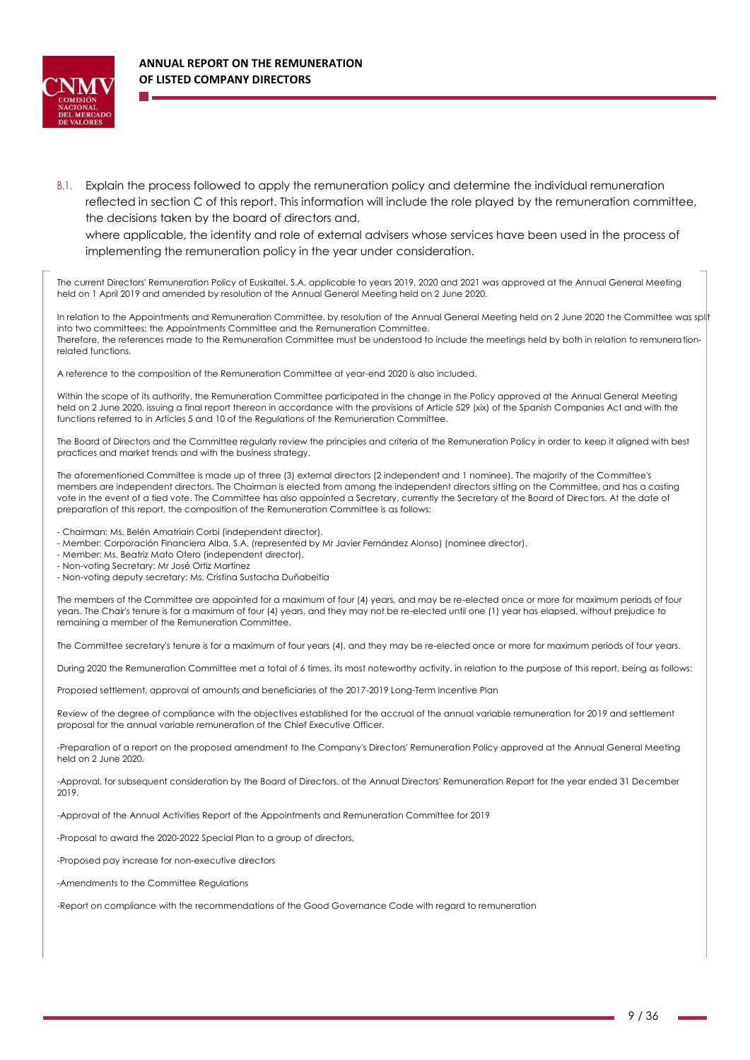

B.1. Explain the process followed to apply the remuneration policy and determine the individual remuneration reflected in section C of this report. This information will include the role played by the remuneration committee, the decisions taken by the board of directors and,

where applicable, the identity and role of external advisers whose services have been used in the process of implementing the remuneration policy in the year under consideration.

The current Directors' Remuneration Policy of Euskaltel, S.A. applicable to years 2019, 2020 and 2021 was approved at the Annual General Meeting held on 1 April 2019 and amended by resolution of the Annual General Meeting held on 2 June 2020.

In relation to the Appointments and Remuneration Committee, by resolution of the Annual General Meeting held on 2 June 2020 the Committee was split into two committees: the Appointments Committee and the Remuneration Committee. Therefore, the references made to the Remuneration Committee must be understood to include the meetings held by both in relation to remunerationrelated functions.

A reference to the composition of the Remuneration Committee at year-end 2020 is also included.

Within the scope of its authority, the Remuneration Committee participated in the change in the Policy approved at the Annual General Meeting held on 2 June 2020, issuing a final report thereon in accordance with the provisions of Article 529 (xix) of the Spanish Companies Act and with the functions referred to in Articles 5 and 10 of the Regulations of the Remuneration Committee.

The Board of Directors and the Committee regularly review the principles and criteria of the Remuneration Policy in order to keep it aligned with best practices and market trends and with the business strategy.

The aforementioned Committee is made up of three (3) external directors (2 independent and 1 nominee). The majority of the Committee's members are independent directors. The Chairman is elected from among the independent directors sitting on the Committee, and has a casting vote in the event of a tied vote. The Committee has also appointed a Secretary, currently the Secretary of the Board of Directors. At the date of preparation of this report, the composition of the Remuneration Committee is as follows:

- Chairman: Ms. Belén Amatriain Corbi (independent director).

- Member: Corporación Financiera Alba, S.A. (represented by Mr Javier Fernández Alonso) (nominee director).

- Member: Ms. Beatriz Mato Otero (independent director).

- Non-voting Secretary: Mr José Ortiz Martínez

- Non-voting deputy secretary: Ms. Cristina Sustacha Duñabeitia

The members of the Committee are appointed for a maximum of four (4) years, and may be re-elected once or more for maximum periods of four years. The Chair's tenure is for a maximum of four (4) years, and they may not be re-elected until one (1) year has elapsed, without prejudice to remaining a member of the Remuneration Committee.

The Committee secretary's tenure is for a maximum of four years (4), and they may be re-elected once or more for maximum periods of four years.

During 2020 the Remuneration Committee met a total of 6 times, its most noteworthy activity, in relation to the purpose of this report, being as follows:

Proposed settlement, approval of amounts and beneficiaries of the 2017-2019 Long-Term Incentive Plan

Review of the degree of compliance with the objectives established for the accrual of the annual variable remuneration for 2019 and settlement proposal for the annual variable remuneration of the Chief Executive Officer.

-Preparation of a report on the proposed amendment to the Company's Directors' Remuneration Policy approved at the Annual General Meeting held on 2 June 2020.

-Approval, for subsequent consideration by the Board of Directors, of the Annual Directors' Remuneration Report for the year ended 31 December 2019.

-Approval of the Annual Activities Report of the Appointments and Remuneration Committee for 2019

-Proposal to award the 2020-2022 Special Plan to a group of directors,

-Proposed pay increase for non-executive directors

-Amendments to the Committee Regulations

-Report on compliance with the recommendations of the Good Governance Code with regard to remuneration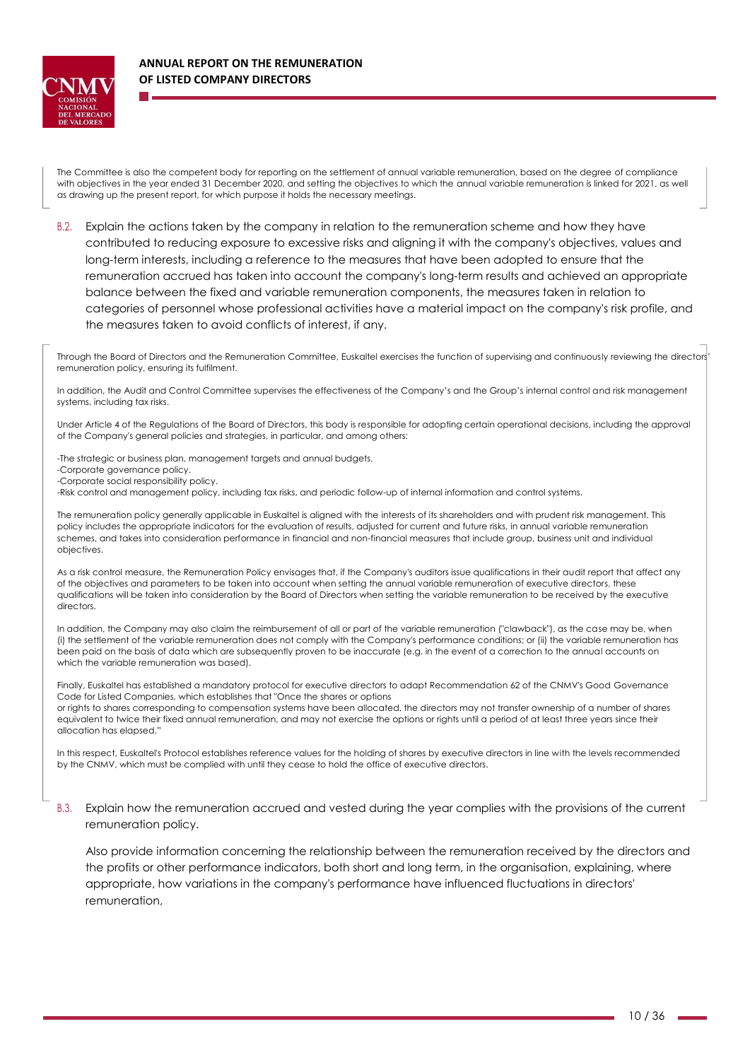

The Committee is also the competent body for reporting on the settlement of annual variable remuneration, based on the degree of compliance with objectives in the year ended 31 December 2020, and setting the objectives to which the annual variable remuneration is linked for 2021, as well as drawing up the present report, for which purpose it holds the necessary meetings.

B.2. Explain the actions taken by the company in relation to the remuneration scheme and how they have contributed to reducing exposure to excessive risks and aligning it with the company's objectives, values and long-term interests, including a reference to the measures that have been adopted to ensure that the remuneration accrued has taken into account the company's long-term results and achieved an appropriate balance between the fixed and variable remuneration components, the measures taken in relation to categories of personnel whose professional activities have a material impact on the company's risk profile, and the measures taken to avoid conflicts of interest, if any.

Through the Board of Directors and the Remuneration Committee, Euskaltel exercises the function of supervising and continuously reviewing the directors<sup>1</sup> remuneration policy, ensuring its fulfilment.

In addition, the Audit and Control Committee supervises the effectiveness of the Company's and the Group's internal control and risk management systems, including tax risks.

Under Article 4 of the Regulations of the Board of Directors, this body is responsible for adopting certain operational decisions, including the approval of the Company's general policies and strategies, in particular, and among others:

-The strategic or business plan, management targets and annual budgets.

-Corporate governance policy.

-Corporate social responsibility policy.

-Risk control and management policy, including tax risks, and periodic follow-up of internal information and control systems.

The remuneration policy generally applicable in Euskaltel is aligned with the interests of its shareholders and with prudent risk management. This policy includes the appropriate indicators for the evaluation of results, adjusted for current and future risks, in annual variable remuneration schemes, and takes into consideration performance in financial and non-financial measures that include group, business unit and individual objectives.

As a risk control measure, the Remuneration Policy envisages that, if the Company's auditors issue qualifications in their audit report that affect any of the objectives and parameters to be taken into account when setting the annual variable remuneration of executive directors, these qualifications will be taken into consideration by the Board of Directors when setting the variable remuneration to be received by the executive directors

In addition, the Company may also claim the reimbursement of all or part of the variable remuneration ("clawback"), as the case may be, when (i) the settlement of the variable remuneration does not comply with the Company's performance conditions; or (ii) the variable remuneration has been paid on the basis of data which are subsequently proven to be inaccurate (e.g. in the event of a correction to the annual accounts on which the variable remuneration was based).

Finally, Euskaltel has established a mandatory protocol for executive directors to adapt Recommendation 62 of the CNMV's Good Governance Code for Listed Companies, which establishes that "Once the shares or options

or rights to shares corresponding to compensation systems have been allocated, the directors may not transfer ownership of a number of shares equivalent to twice their fixed annual remuneration, and may not exercise the options or rights until a period of at least three years since their allocation has elapsed."

In this respect, Euskaltel's Protocol establishes reference values for the holding of shares by executive directors in line with the levels recommended by the CNMV, which must be complied with until they cease to hold the office of executive directors.

B.3. Explain how the remuneration accrued and vested during the year complies with the provisions of the current remuneration policy.

Also provide information concerning the relationship between the remuneration received by the directors and the profits or other performance indicators, both short and long term, in the organisation, explaining, where appropriate, how variations in the company's performance have influenced fluctuations in directors' remuneration,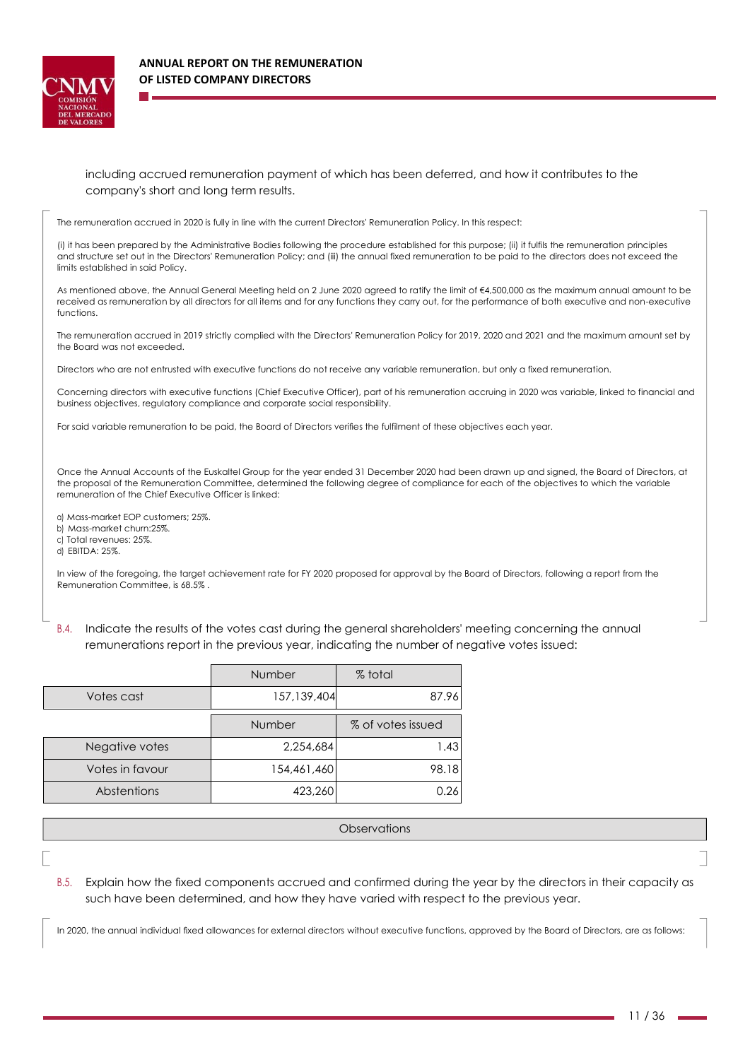

## including accrued remuneration payment of which has been deferred, and how it contributes to the company's short and long term results.

The remuneration accrued in 2020 is fully in line with the current Directors' Remuneration Policy. In this respect:

(i) it has been prepared by the Administrative Bodies following the procedure established for this purpose; (ii) it fulfils the remuneration principles and structure set out in the Directors' Remuneration Policy; and (iii) the annual fixed remuneration to be paid to the directors does not exceed the limits established in said Policy.

As mentioned above, the Annual General Meeting held on 2 June 2020 agreed to ratify the limit of €4,500,000 as the maximum annual amount to be received as remuneration by all directors for all items and for any functions they carry out, for the performance of both executive and non-executive functions.

The remuneration accrued in 2019 strictly complied with the Directors' Remuneration Policy for 2019, 2020 and 2021 and the maximum amount set by the Board was not exceeded.

Directors who are not entrusted with executive functions do not receive any variable remuneration, but only a fixed remuneration.

Concerning directors with executive functions (Chief Executive Officer), part of his remuneration accruing in 2020 was variable, linked to financial and business objectives, regulatory compliance and corporate social responsibility.

For said variable remuneration to be paid, the Board of Directors verifies the fulfilment of these objectives each year.

Once the Annual Accounts of the Euskaltel Group for the year ended 31 December 2020 had been drawn up and signed, the Board of Directors, at the proposal of the Remuneration Committee, determined the following degree of compliance for each of the objectives to which the variable remuneration of the Chief Executive Officer is linked:

a) Mass-market EOP customers; 25%.

b) Mass-market churn:25%.

c) Total revenues: 25%.

d) EBITDA: 25%.

In view of the foregoing, the target achievement rate for FY 2020 proposed for approval by the Board of Directors, following a report from the Remuneration Committee, is 68.5% .

B.4. Indicate the results of the votes cast during the general shareholders' meeting concerning the annual remunerations report in the previous year, indicating the number of negative votes issued:

|                 | Number        | % total           |
|-----------------|---------------|-------------------|
| Votes cast      | 157, 139, 404 | 87.96             |
|                 | Number        | % of votes issued |
| Negative votes  | 2,254,684     | 1.43              |
| Votes in favour | 154,461,460   | 98.18             |
| Abstentions     | 423,260       | 0.26              |

### **Observations**

B.5. Explain how the fixed components accrued and confirmed during the year by the directors in their capacity as such have been determined, and how they have varied with respect to the previous year.

In 2020, the annual individual fixed allowances for external directors without executive functions, approved by the Board of Directors, are as follows: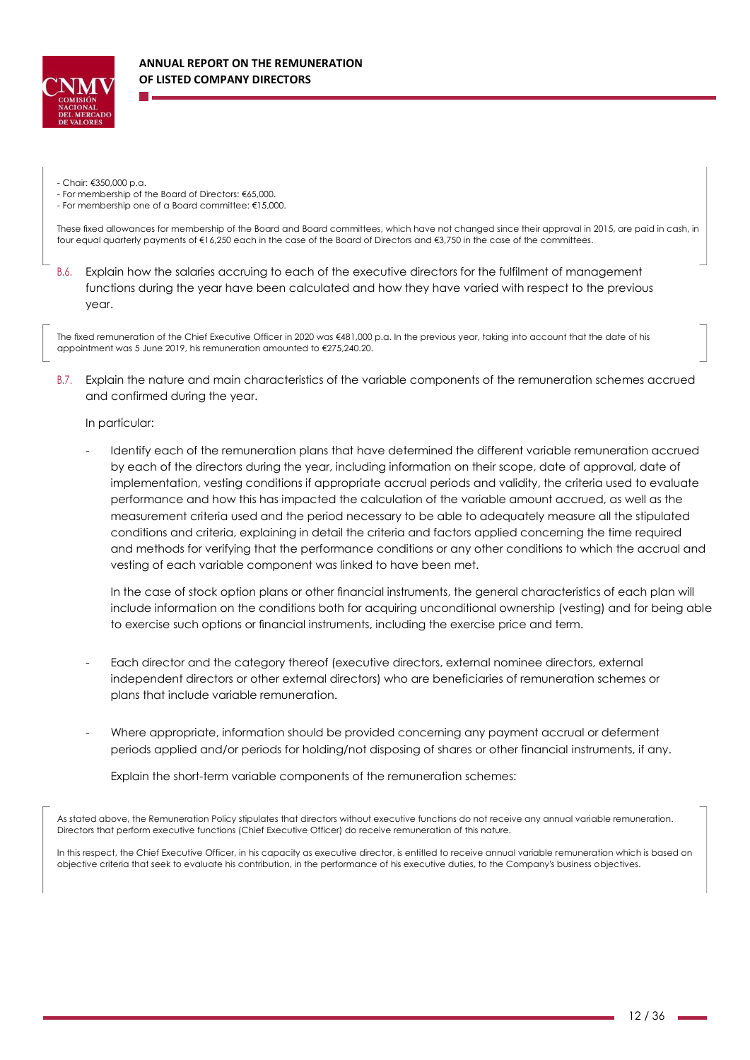

- Chair: €350,000 p.a.

- For membership of the Board of Directors: €65,000.

- For membership one of a Board committee: €15,000.

These fixed allowances for membership of the Board and Board committees, which have not changed since their approval in 2015, are paid in cash, in four equal quarterly payments of €16,250 each in the case of the Board of Directors and €3,750 in the case of the committees.

B.6. Explain how the salaries accruing to each of the executive directors for the fulfilment of management functions during the year have been calculated and how they have varied with respect to the previous year.

The fixed remuneration of the Chief Executive Officer in 2020 was €481,000 p.a. In the previous year, taking into account that the date of his appointment was 5 June 2019, his remuneration amounted to €275,240.20.

B.7. Explain the nature and main characteristics of the variable components of the remuneration schemes accrued and confirmed during the year.

### In particular:

Identify each of the remuneration plans that have determined the different variable remuneration accrued by each of the directors during the year, including information on their scope, date of approval, date of implementation, vesting conditions if appropriate accrual periods and validity, the criteria used to evaluate performance and how this has impacted the calculation of the variable amount accrued, as well as the measurement criteria used and the period necessary to be able to adequately measure all the stipulated conditions and criteria, explaining in detail the criteria and factors applied concerning the time required and methods for verifying that the performance conditions or any other conditions to which the accrual and vesting of each variable component was linked to have been met.

In the case of stock option plans or other financial instruments, the general characteristics of each plan will include information on the conditions both for acquiring unconditional ownership (vesting) and for being able to exercise such options or financial instruments, including the exercise price and term.

- Each director and the category thereof (executive directors, external nominee directors, external independent directors or other external directors) who are beneficiaries of remuneration schemes or plans that include variable remuneration.
- Where appropriate, information should be provided concerning any payment accrual or deferment periods applied and/or periods for holding/not disposing of shares or other financial instruments, if any.

Explain the short-term variable components of the remuneration schemes:

As stated above, the Remuneration Policy stipulates that directors without executive functions do not receive any annual variable remuneration. Directors that perform executive functions (Chief Executive Officer) do receive remuneration of this nature.

In this respect, the Chief Executive Officer, in his capacity as executive director, is entitled to receive annual variable remuneration which is based on objective criteria that seek to evaluate his contribution, in the performance of his executive duties, to the Company's business objectives.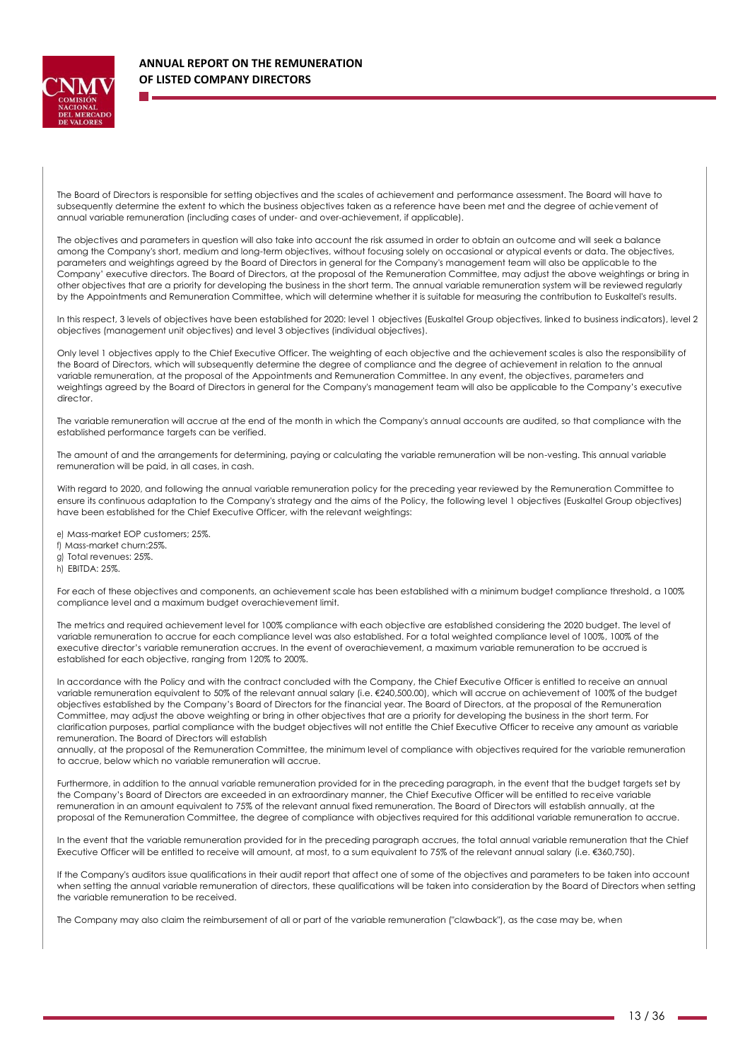

The Board of Directors is responsible for setting objectives and the scales of achievement and performance assessment. The Board will have to subsequently determine the extent to which the business objectives taken as a reference have been met and the degree of achievement of annual variable remuneration (including cases of under- and over-achievement, if applicable).

The objectives and parameters in question will also take into account the risk assumed in order to obtain an outcome and will seek a balance among the Company's short, medium and long-term objectives, without focusing solely on occasional or atypical events or data. The objectives, parameters and weightings agreed by the Board of Directors in general for the Company's management team will also be applicable to the Company' executive directors. The Board of Directors, at the proposal of the Remuneration Committee, may adjust the above weightings or bring in other objectives that are a priority for developing the business in the short term. The annual variable remuneration system will be reviewed regularly by the Appointments and Remuneration Committee, which will determine whether it is suitable for measuring the contribution to Euskaltel's results.

In this respect, 3 levels of objectives have been established for 2020: level 1 objectives (Euskaltel Group objectives, linked to business indicators), level 2 objectives (management unit objectives) and level 3 objectives (individual objectives).

Only level 1 objectives apply to the Chief Executive Officer. The weighting of each objective and the achievement scales is also the responsibility of the Board of Directors, which will subsequently determine the degree of compliance and the degree of achievement in relation to the annual variable remuneration, at the proposal of the Appointments and Remuneration Committee. In any event, the objectives, parameters and weightings agreed by the Board of Directors in general for the Company's management team will also be applicable to the Company's executive director.

The variable remuneration will accrue at the end of the month in which the Company's annual accounts are audited, so that compliance with the established performance targets can be verified.

The amount of and the arrangements for determining, paying or calculating the variable remuneration will be non-vesting. This annual variable remuneration will be paid, in all cases, in cash.

With regard to 2020, and following the annual variable remuneration policy for the preceding year reviewed by the Remuneration Committee to ensure its continuous adaptation to the Company's strategy and the aims of the Policy, the following level 1 objectives (Euskaltel Group objectives) have been established for the Chief Executive Officer, with the relevant weightings:

e) Mass-market EOP customers; 25%. f) Mass-market churn:25%. g) Total revenues: 25%. h) EBITDA: 25%.

For each of these objectives and components, an achievement scale has been established with a minimum budget compliance threshold, a 100% compliance level and a maximum budget overachievement limit.

The metrics and required achievement level for 100% compliance with each objective are established considering the 2020 budget. The level of variable remuneration to accrue for each compliance level was also established. For a total weighted compliance level of 100%, 100% of the executive director's variable remuneration accrues. In the event of overachievement, a maximum variable remuneration to be accrued is established for each objective, ranging from 120% to 200%.

In accordance with the Policy and with the contract concluded with the Company, the Chief Executive Officer is entitled to receive an annual variable remuneration equivalent to 50% of the relevant annual salary (i.e. €240,500.00), which will accrue on achievement of 100% of the budget objectives established by the Company's Board of Directors for the financial year. The Board of Directors, at the proposal of the Remuneration Committee, may adjust the above weighting or bring in other objectives that are a priority for developing the business in the short term. For clarification purposes, partial compliance with the budget objectives will not entitle the Chief Executive Officer to receive any amount as variable remuneration. The Board of Directors will establish

annually, at the proposal of the Remuneration Committee, the minimum level of compliance with objectives required for the variable remuneration to accrue, below which no variable remuneration will accrue.

Furthermore, in addition to the annual variable remuneration provided for in the preceding paragraph, in the event that the budget targets set by the Company's Board of Directors are exceeded in an extraordinary manner, the Chief Executive Officer will be entitled to receive variable remuneration in an amount equivalent to 75% of the relevant annual fixed remuneration. The Board of Directors will establish annually, at the proposal of the Remuneration Committee, the degree of compliance with objectives required for this additional variable remuneration to accrue.

In the event that the variable remuneration provided for in the preceding paragraph accrues, the total annual variable remuneration that the Chief Executive Officer will be entitled to receive will amount, at most, to a sum equivalent to 75% of the relevant annual salary (i.e. €360,750).

If the Company's auditors issue qualifications in their audit report that affect one of some of the objectives and parameters to be taken into account when setting the annual variable remuneration of directors, these qualifications will be taken into consideration by the Board of Directors when setting the variable remuneration to be received.

The Company may also claim the reimbursement of all or part of the variable remuneration ("clawback"), as the case may be, when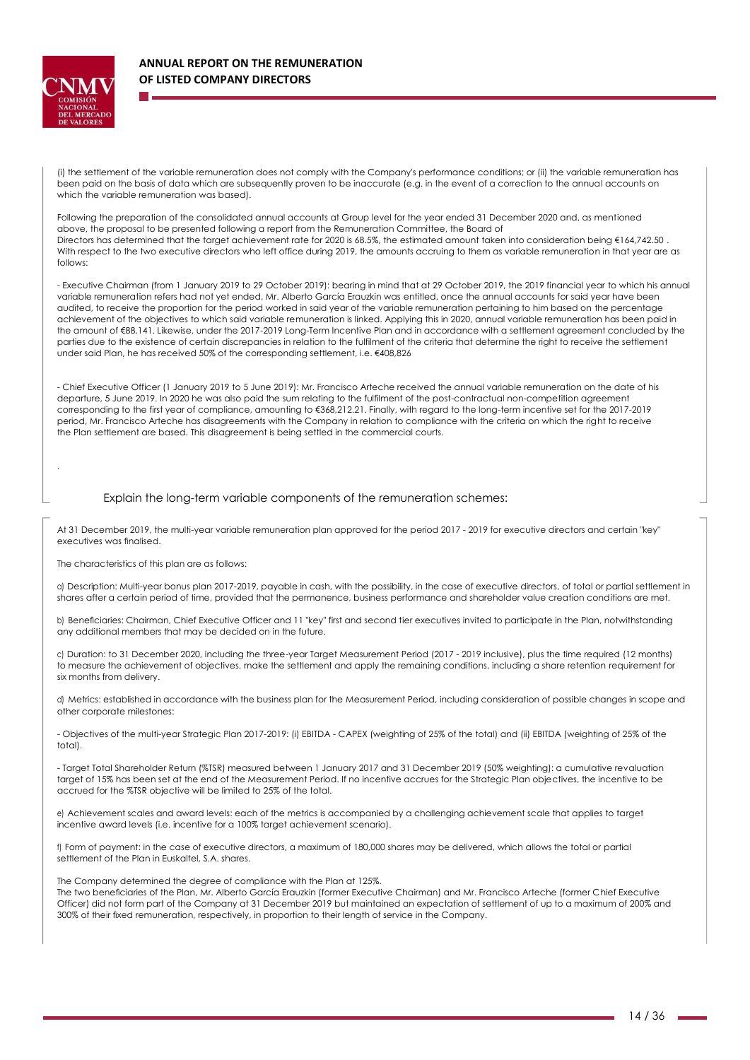

.

(i) the settlement of the variable remuneration does not comply with the Company's performance conditions; or (ii) the variable remuneration has been paid on the basis of data which are subsequently proven to be inaccurate (e.g. in the event of a correction to the annual accounts on which the variable remuneration was based).

Following the preparation of the consolidated annual accounts at Group level for the year ended 31 December 2020 and, as mentioned above, the proposal to be presented following a report from the Remuneration Committee, the Board of Directors has determined that the target achievement rate for 2020 is 68.5%, the estimated amount taken into consideration being €164,742.50 . With respect to the two executive directors who left office during 2019, the amounts accruing to them as variable remuneration in that year are as follows:

- Executive Chairman (from 1 January 2019 to 29 October 2019): bearing in mind that at 29 October 2019, the 2019 financial year to which his annual variable remuneration refers had not yet ended, Mr. Alberto García Erauzkin was entitled, once the annual accounts for said year have been audited, to receive the proportion for the period worked in said year of the variable remuneration pertaining to him based on the percentage achievement of the objectives to which said variable remuneration is linked. Applying this in 2020, annual variable remuneration has been paid in the amount of €88,141. Likewise, under the 2017-2019 Long-Term Incentive Plan and in accordance with a settlement agreement concluded by the parties due to the existence of certain discrepancies in relation to the fulfilment of the criteria that determine the right to receive the settlement under said Plan, he has received 50% of the corresponding settlement, i.e. €408,826

- Chief Executive Officer (1 January 2019 to 5 June 2019): Mr. Francisco Arteche received the annual variable remuneration on the date of his departure, 5 June 2019. In 2020 he was also paid the sum relating to the fulfilment of the post-contractual non-competition agreement corresponding to the first year of compliance, amounting to €368,212.21. Finally, with regard to the long-term incentive set for the 2017-2019 period, Mr. Francisco Arteche has disagreements with the Company in relation to compliance with the criteria on which the right to receive the Plan settlement are based. This disagreement is being settled in the commercial courts.

#### Explain the long-term variable components of the remuneration schemes:

At 31 December 2019, the multi-year variable remuneration plan approved for the period 2017 - 2019 for executive directors and certain "key" executives was finalised.

The characteristics of this plan are as follows:

a) Description: Multi-year bonus plan 2017-2019, payable in cash, with the possibility, in the case of executive directors, of total or partial settlement in shares after a certain period of time, provided that the permanence, business performance and shareholder value creation conditions are met.

b) Beneficiaries: Chairman, Chief Executive Officer and 11 "key" first and second tier executives invited to participate in the Plan, notwithstanding any additional members that may be decided on in the future.

c) Duration: to 31 December 2020, including the three-year Target Measurement Period (2017 - 2019 inclusive), plus the time required (12 months) to measure the achievement of objectives, make the settlement and apply the remaining conditions, including a share retention requirement for six months from delivery.

d) Metrics: established in accordance with the business plan for the Measurement Period, including consideration of possible changes in scope and other corporate milestones:

- Objectives of the multi-year Strategic Plan 2017-2019: (i) EBITDA - CAPEX (weighting of 25% of the total) and (ii) EBITDA (weighting of 25% of the total).

- Target Total Shareholder Return (%TSR) measured between 1 January 2017 and 31 December 2019 (50% weighting): a cumulative revaluation target of 15% has been set at the end of the Measurement Period. If no incentive accrues for the Strategic Plan objectives, the incentive to be accrued for the %TSR objective will be limited to 25% of the total.

e) Achievement scales and award levels: each of the metrics is accompanied by a challenging achievement scale that applies to target incentive award levels (i.e. incentive for a 100% target achievement scenario).

f) Form of payment: in the case of executive directors, a maximum of 180,000 shares may be delivered, which allows the total or partial settlement of the Plan in Euskaltel, S.A. shares.

The Company determined the degree of compliance with the Plan at 125%.

The two beneficiaries of the Plan, Mr. Alberto García Erauzkin (former Executive Chairman) and Mr. Francisco Arteche (former Chief Executive Officer) did not form part of the Company at 31 December 2019 but maintained an expectation of settlement of up to a maximum of 200% and 300% of their fixed remuneration, respectively, in proportion to their length of service in the Company.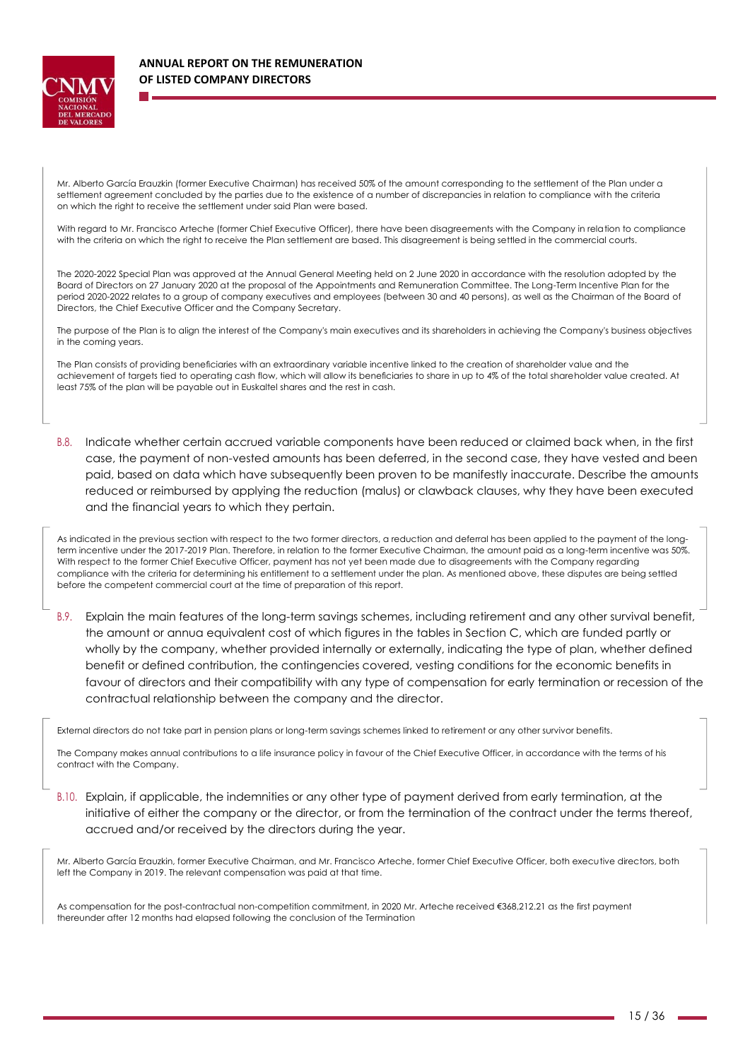

Mr. Alberto García Erauzkin (former Executive Chairman) has received 50% of the amount corresponding to the settlement of the Plan under a settlement agreement concluded by the parties due to the existence of a number of discrepancies in relation to compliance with the criteria on which the right to receive the settlement under said Plan were based.

With regard to Mr. Francisco Arteche (former Chief Executive Officer), there have been disagreements with the Company in relation to compliance with the criteria on which the right to receive the Plan settlement are based. This disagreement is being settled in the commercial courts.

The 2020-2022 Special Plan was approved at the Annual General Meeting held on 2 June 2020 in accordance with the resolution adopted by the Board of Directors on 27 January 2020 at the proposal of the Appointments and Remuneration Committee. The Long-Term Incentive Plan for the period 2020-2022 relates to a group of company executives and employees (between 30 and 40 persons), as well as the Chairman of the Board of Directors, the Chief Executive Officer and the Company Secretary.

The purpose of the Plan is to align the interest of the Company's main executives and its shareholders in achieving the Company's business objectives in the coming years.

The Plan consists of providing beneficiaries with an extraordinary variable incentive linked to the creation of shareholder value and the achievement of targets tied to operating cash flow, which will allow its beneficiaries to share in up to 4% of the total shareholder value created. At least 75% of the plan will be payable out in Euskaltel shares and the rest in cash.

B.8. Indicate whether certain accrued variable components have been reduced or claimed back when, in the first case, the payment of non-vested amounts has been deferred, in the second case, they have vested and been paid, based on data which have subsequently been proven to be manifestly inaccurate. Describe the amounts reduced or reimbursed by applying the reduction (malus) or clawback clauses, why they have been executed and the financial years to which they pertain.

As indicated in the previous section with respect to the two former directors, a reduction and deferral has been applied to the payment of the longterm incentive under the 2017-2019 Plan. Therefore, in relation to the former Executive Chairman, the amount paid as a long-term incentive was 50%. With respect to the former Chief Executive Officer, payment has not yet been made due to disagreements with the Company regarding compliance with the criteria for determining his entitlement to a settlement under the plan. As mentioned above, these disputes are being settled before the competent commercial court at the time of preparation of this report.

B.9. Explain the main features of the long-term savings schemes, including retirement and any other survival benefit, the amount or annua equivalent cost of which figures in the tables in Section C, which are funded partly or wholly by the company, whether provided internally or externally, indicating the type of plan, whether defined benefit or defined contribution, the contingencies covered, vesting conditions for the economic benefits in favour of directors and their compatibility with any type of compensation for early termination or recession of the contractual relationship between the company and the director.

External directors do not take part in pension plans or long-term savings schemes linked to retirement or any other survivor benefits.

The Company makes annual contributions to a life insurance policy in favour of the Chief Executive Officer, in accordance with the terms of his contract with the Company.

B.10. Explain, if applicable, the indemnities or any other type of payment derived from early termination, at the initiative of either the company or the director, or from the termination of the contract under the terms thereof, accrued and/or received by the directors during the year.

Mr. Alberto García Erauzkin, former Executive Chairman, and Mr. Francisco Arteche, former Chief Executive Officer, both executive directors, both left the Company in 2019. The relevant compensation was paid at that time.

As compensation for the post-contractual non-competition commitment, in 2020 Mr. Arteche received €368,212.21 as the first payment thereunder after 12 months had elapsed following the conclusion of the Termination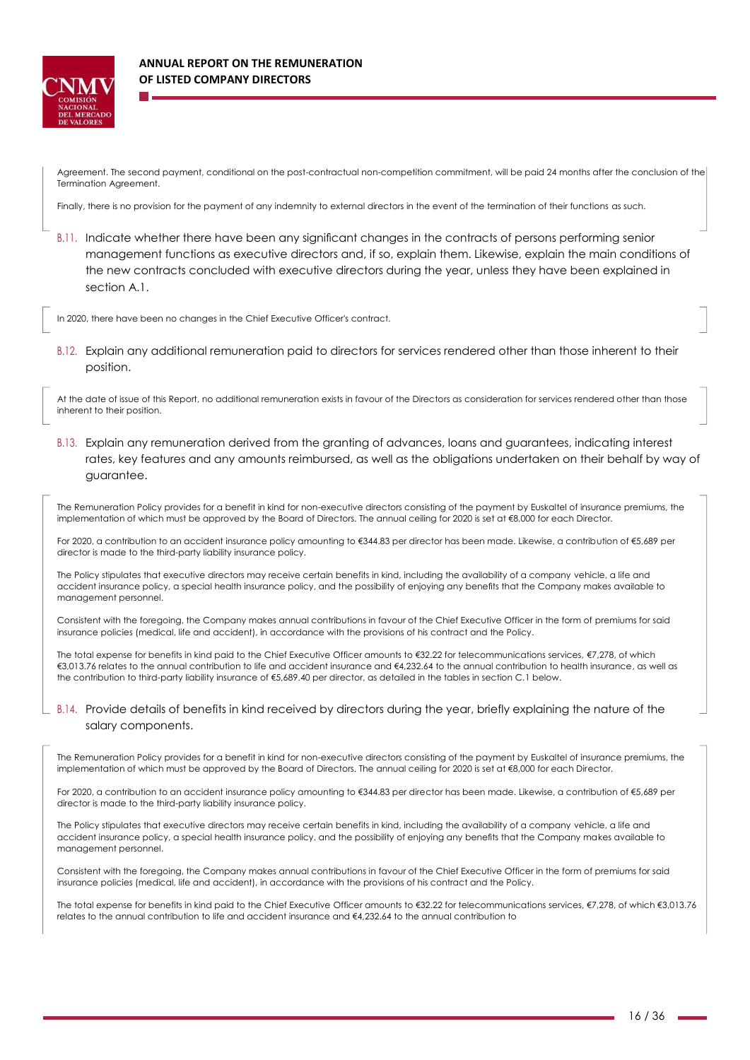

## **ANNUAL REPORT ON THE REMUNERATION OF LISTED COMPANY DIRECTORS**

Agreement. The second payment, conditional on the post-contractual non-competition commitment, will be paid 24 months after the conclusion of the Termination Agreement.

Finally, there is no provision for the payment of any indemnity to external directors in the event of the termination of their functions as such.

B.11. Indicate whether there have been any significant changes in the contracts of persons performing senior management functions as executive directors and, if so, explain them. Likewise, explain the main conditions of the new contracts concluded with executive directors during the year, unless they have been explained in section A.1.

In 2020, there have been no changes in the Chief Executive Officer's contract.

B.12. Explain any additional remuneration paid to directors for services rendered other than those inherent to their position.

At the date of issue of this Report, no additional remuneration exists in favour of the Directors as consideration for services rendered other than those inherent to their position.

B.13. Explain any remuneration derived from the granting of advances, loans and guarantees, indicating interest rates, key features and any amounts reimbursed, as well as the obligations undertaken on their behalf by way of guarantee.

The Remuneration Policy provides for a benefit in kind for non-executive directors consisting of the payment by Euskaltel of insurance premiums, the implementation of which must be approved by the Board of Directors. The annual ceiling for 2020 is set at €8,000 for each Director.

For 2020, a contribution to an accident insurance policy amounting to €344.83 per director has been made. Likewise, a contribution of €5,689 per director is made to the third-party liability insurance policy.

The Policy stipulates that executive directors may receive certain benefits in kind, including the availability of a company vehicle, a life and accident insurance policy, a special health insurance policy, and the possibility of enjoying any benefits that the Company makes available to management personnel.

Consistent with the foregoing, the Company makes annual contributions in favour of the Chief Executive Officer in the form of premiums for said insurance policies (medical, life and accident), in accordance with the provisions of his contract and the Policy.

The total expense for benefits in kind paid to the Chief Executive Officer amounts to €32.22 for telecommunications services, €7.278, of which €3,013.76 relates to the annual contribution to life and accident insurance and €4,232.64 to the annual contribution to health insurance, as well as the contribution to third-party liability insurance of €5,689.40 per director, as detailed in the tables in section C.1 below.

### B.14. Provide details of benefits in kind received by directors during the year, briefly explaining the nature of the salary components.

The Remuneration Policy provides for a benefit in kind for non-executive directors consisting of the payment by Euskaltel of insurance premiums, the implementation of which must be approved by the Board of Directors. The annual ceiling for 2020 is set at €8,000 for each Director.

For 2020, a contribution to an accident insurance policy amounting to €344.83 per director has been made. Likewise, a contribution of €5,689 per director is made to the third-party liability insurance policy.

The Policy stipulates that executive directors may receive certain benefits in kind, including the availability of a company vehicle, a life and accident insurance policy, a special health insurance policy, and the possibility of enjoying any benefits that the Company makes available to management personnel.

Consistent with the foregoing, the Company makes annual contributions in favour of the Chief Executive Officer in the form of premiums for said insurance policies (medical, life and accident), in accordance with the provisions of his contract and the Policy.

The total expense for benefits in kind paid to the Chief Executive Officer amounts to €32.22 for telecommunications services, €7,278, of which €3,013.76 relates to the annual contribution to life and accident insurance and €4,232.64 to the annual contribution to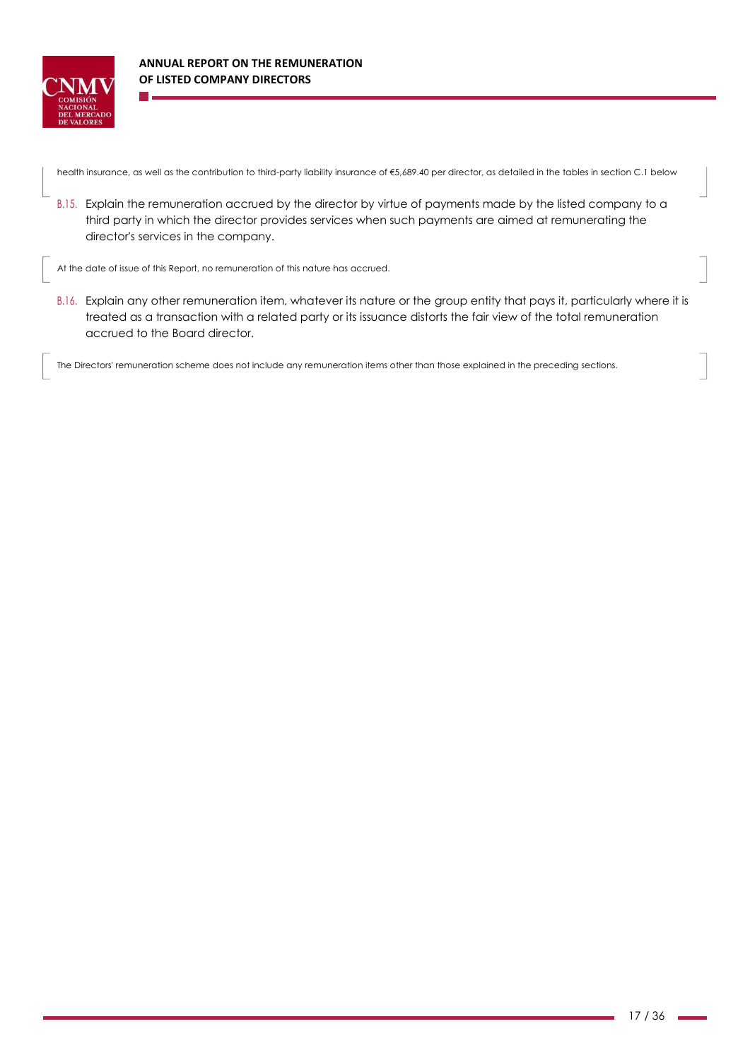

health insurance, as well as the contribution to third-party liability insurance of €5,689.40 per director, as detailed in the tables in section C.1 below

B.15. Explain the remuneration accrued by the director by virtue of payments made by the listed company to a third party in which the director provides services when such payments are aimed at remunerating the director's services in the company.

At the date of issue of this Report, no remuneration of this nature has accrued.

B.16. Explain any other remuneration item, whatever its nature or the group entity that pays it, particularly where it is treated as a transaction with a related party or its issuance distorts the fair view of the total remuneration accrued to the Board director.

The Directors' remuneration scheme does not include any remuneration items other than those explained in the preceding sections.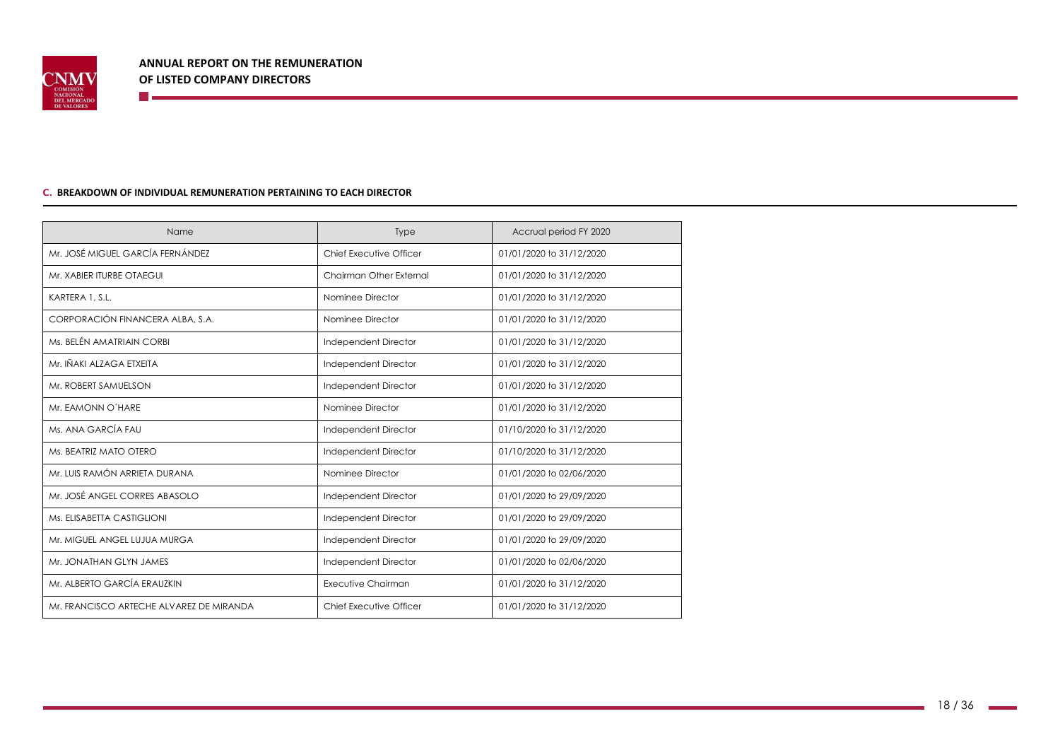

#### **C. BREAKDOWN OF INDIVIDUAL REMUNERATION PERTAINING TO EACH DIRECTOR**

**The Communication** 

| Name                                     | <b>Type</b>             | Accrual period FY 2020   |
|------------------------------------------|-------------------------|--------------------------|
| Mr. JOSÉ MIGUEL GARCÍA FERNÁNDEZ         | Chief Executive Officer | 01/01/2020 to 31/12/2020 |
| Mr. XABIER ITURBE OTAEGUI                | Chairman Other External | 01/01/2020 to 31/12/2020 |
| KARTERA 1, S.L.                          | Nominee Director        | 01/01/2020 to 31/12/2020 |
| CORPORACIÓN FINANCERA ALBA, S.A.         | Nominee Director        | 01/01/2020 to 31/12/2020 |
| Ms. BELÉN AMATRIAIN CORBI                | Independent Director    | 01/01/2020 to 31/12/2020 |
| Mr. IÑAKI ALZAGA ETXEITA                 | Independent Director    | 01/01/2020 to 31/12/2020 |
| Mr. ROBERT SAMUELSON                     | Independent Director    | 01/01/2020 to 31/12/2020 |
| Mr. EAMONN O'HARE                        | Nominee Director        | 01/01/2020 to 31/12/2020 |
| Ms. ANA GARCÍA FAU                       | Independent Director    | 01/10/2020 to 31/12/2020 |
| Ms. BEATRIZ MATO OTERO                   | Independent Director    | 01/10/2020 to 31/12/2020 |
| Mr. LUIS RAMÓN ARRIETA DURANA            | Nominee Director        | 01/01/2020 to 02/06/2020 |
| Mr. JOSÉ ANGEL CORRES ABASOLO            | Independent Director    | 01/01/2020 to 29/09/2020 |
| Ms. ELISABETTA CASTIGLIONI               | Independent Director    | 01/01/2020 to 29/09/2020 |
| Mr. MIGUEL ANGEL LUJUA MURGA             | Independent Director    | 01/01/2020 to 29/09/2020 |
| Mr. JONATHAN GLYN JAMES                  | Independent Director    | 01/01/2020 to 02/06/2020 |
| Mr. ALBERTO GARCÍA ERAUZKIN              | Executive Chairman      | 01/01/2020 to 31/12/2020 |
| Mr. FRANCISCO ARTECHE ALVAREZ DE MIRANDA | Chief Executive Officer | 01/01/2020 to 31/12/2020 |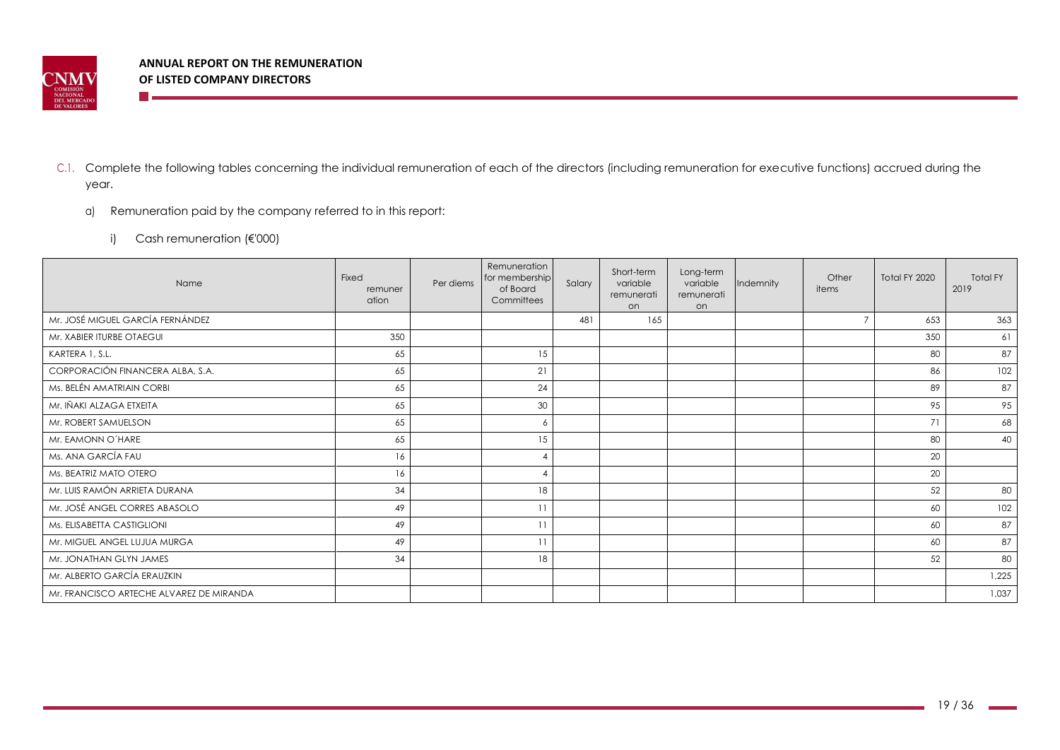

- C.1. Complete the following tables concerning the individual remuneration of each of the directors (including remuneration for executive functions) accrued during the year.
	- a) Remuneration paid by the company referred to in this report:
		- i) Cash remuneration (€'000)

**The Co** 

| Name                                     | Fixed<br>remuner<br>ation | Per diems | Remuneration<br>for membership<br>of Board<br>Committees | Salary | Short-term<br>variable<br>remunerati<br>on | Long-term<br>variable<br>remunerati<br>on | Indemnity | Other<br>items | Total FY 2020 | <b>Total FY</b><br>2019 |
|------------------------------------------|---------------------------|-----------|----------------------------------------------------------|--------|--------------------------------------------|-------------------------------------------|-----------|----------------|---------------|-------------------------|
| Mr. JOSÉ MIGUEL GARCÍA FERNÁNDEZ         |                           |           |                                                          | 481    | 165                                        |                                           |           | $\overline{z}$ | 653           | 363                     |
| Mr. XABIER ITURBE OTAEGUI                | 350                       |           |                                                          |        |                                            |                                           |           |                | 350           | 61                      |
| KARTERA 1, S.L.                          | 65                        |           | 15                                                       |        |                                            |                                           |           |                | 80            | 87                      |
| CORPORACIÓN FINANCERA ALBA, S.A.         | 65                        |           | 21                                                       |        |                                            |                                           |           |                | 86            | 102                     |
| Ms. BELÉN AMATRIAIN CORBI                | 65                        |           | 24                                                       |        |                                            |                                           |           |                | 89            | 87                      |
| Mr. IÑAKI ALZAGA ETXEITA                 | 65                        |           | 30                                                       |        |                                            |                                           |           |                | 95            | 95                      |
| Mr. ROBERT SAMUELSON                     | 65                        |           | 6                                                        |        |                                            |                                           |           |                | 71            | 68                      |
| Mr. EAMONN O'HARE                        | 65                        |           | 15                                                       |        |                                            |                                           |           |                | 80            | 40                      |
| Ms. ANA GARCÍA FAU                       | 16                        |           | $\overline{4}$                                           |        |                                            |                                           |           |                | 20            |                         |
| Ms. BEATRIZ MATO OTERO                   | 16                        |           | -4                                                       |        |                                            |                                           |           |                | 20            |                         |
| Mr. LUIS RAMÓN ARRIETA DURANA            | 34                        |           | 18                                                       |        |                                            |                                           |           |                | 52            | 80                      |
| Mr. JOSÉ ANGEL CORRES ABASOLO            | 49                        |           | 11                                                       |        |                                            |                                           |           |                | 60            | 102                     |
| Ms. ELISABETTA CASTIGLIONI               | 49                        |           | 11                                                       |        |                                            |                                           |           |                | 60            | 87                      |
| Mr. MIGUEL ANGEL LUJUA MURGA             | 49                        |           | 11                                                       |        |                                            |                                           |           |                | 60            | 87                      |
| Mr. JONATHAN GLYN JAMES                  | 34                        |           | 18                                                       |        |                                            |                                           |           |                | 52            | 80                      |
| Mr. ALBERTO GARCÍA ERAUZKIN              |                           |           |                                                          |        |                                            |                                           |           |                |               | 1,225                   |
| Mr. FRANCISCO ARTECHE ALVAREZ DE MIRANDA |                           |           |                                                          |        |                                            |                                           |           |                |               | 1,037                   |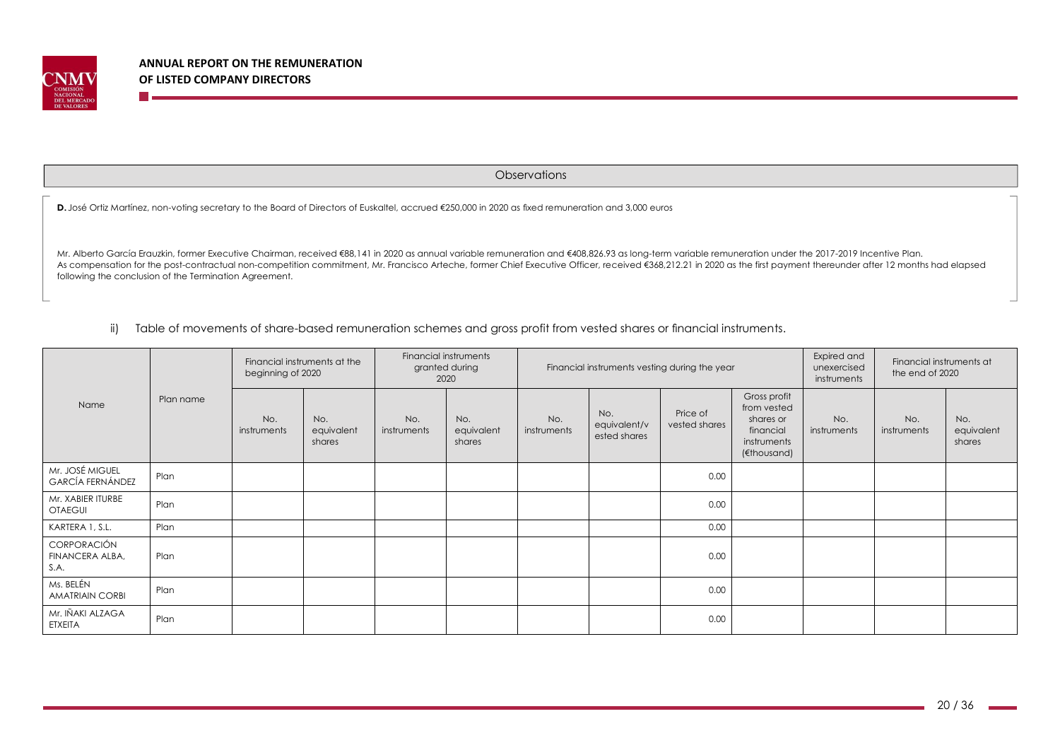

m e

**Observations** 

**D.** José Ortiz Martínez, non-voting secretary to the Board of Directors of Euskaltel, accrued €250,000 in 2020 as fixed remuneration and 3,000 euros

Mr. Alberto García Erauzkin, former Executive Chairman, received €88,141 in 2020 as annual variable remuneration and €408,826.93 as long-term variable remuneration under the 2017-2019 Incentive Plan. As compensation for the post-contractual non-competition commitment, Mr. Francisco Arteche, former Chief Executive Officer, received €368,212.21 in 2020 as the first payment thereunder after 12 months had elapsed following the conclusion of the Termination Agreement.

ii) Table of movements of share-based remuneration schemes and gross profit from vested shares or financial instruments.

|                                               |           | Financial instruments at the<br>beginning of 2020 |                             | Financial instruments<br>granted during<br>2020 |                             | Financial instruments vesting during the year |                                     |                           |                                                                                     | Expired and<br>unexercised<br>instruments | Financial instruments at<br>the end of 2020 |                             |
|-----------------------------------------------|-----------|---------------------------------------------------|-----------------------------|-------------------------------------------------|-----------------------------|-----------------------------------------------|-------------------------------------|---------------------------|-------------------------------------------------------------------------------------|-------------------------------------------|---------------------------------------------|-----------------------------|
| Name                                          | Plan name | No.<br>instruments                                | No.<br>equivalent<br>shares | No.<br>instruments                              | No.<br>equivalent<br>shares | No.<br>instruments                            | No.<br>equivalent/v<br>ested shares | Price of<br>vested shares | Gross profit<br>from vested<br>shares or<br>financial<br>instruments<br>(€thousand) | No.<br>instruments                        | No.<br>instruments                          | No.<br>equivalent<br>shares |
| Mr. JOSÉ MIGUEL<br><b>GARCÍA FERNÁNDEZ</b>    | Plan      |                                                   |                             |                                                 |                             |                                               |                                     | 0.00                      |                                                                                     |                                           |                                             |                             |
| Mr. XABIER ITURBE<br><b>OTAEGUI</b>           | Plan      |                                                   |                             |                                                 |                             |                                               |                                     | 0.00                      |                                                                                     |                                           |                                             |                             |
| KARTERA 1, S.L.                               | Plan      |                                                   |                             |                                                 |                             |                                               |                                     | 0.00                      |                                                                                     |                                           |                                             |                             |
| <b>CORPORACIÓN</b><br>FINANCERA ALBA,<br>S.A. | Plan      |                                                   |                             |                                                 |                             |                                               |                                     | 0.00                      |                                                                                     |                                           |                                             |                             |
| Ms. BELÉN<br><b>AMATRIAIN CORBI</b>           | Plan      |                                                   |                             |                                                 |                             |                                               |                                     | 0.00                      |                                                                                     |                                           |                                             |                             |
| Mr. IÑAKI ALZAGA<br><b>ETXEITA</b>            | Plan      |                                                   |                             |                                                 |                             |                                               |                                     | 0.00                      |                                                                                     |                                           |                                             |                             |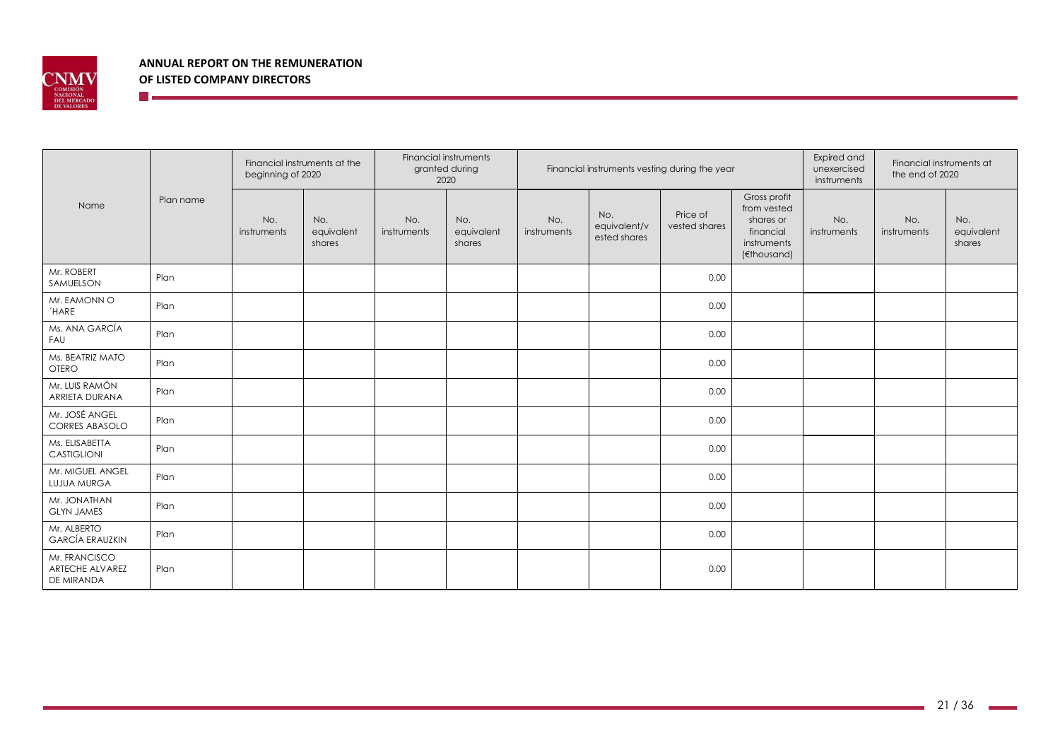

**The Communication** 

|                                                |           | Financial instruments at the<br>beginning of 2020 |                             | Financial instruments<br>granted during<br>Financial instruments vesting during the year<br>2020 |                             |                    |                                     | Expired and<br>unexercised<br>instruments | Financial instruments at<br>the end of 2020                                         |                    |                    |                             |
|------------------------------------------------|-----------|---------------------------------------------------|-----------------------------|--------------------------------------------------------------------------------------------------|-----------------------------|--------------------|-------------------------------------|-------------------------------------------|-------------------------------------------------------------------------------------|--------------------|--------------------|-----------------------------|
| Name                                           | Plan name | No.<br>instruments                                | No.<br>equivalent<br>shares | No.<br>instruments                                                                               | No.<br>equivalent<br>shares | No.<br>instruments | No.<br>equivalent/v<br>ested shares | Price of<br>vested shares                 | Gross profit<br>from vested<br>shares or<br>financial<br>instruments<br>(€thousand) | No.<br>instruments | No.<br>instruments | No.<br>equivalent<br>shares |
| Mr. ROBERT<br>SAMUELSON                        | Plan      |                                                   |                             |                                                                                                  |                             |                    |                                     | 0.00                                      |                                                                                     |                    |                    |                             |
| Mr. EAMONN O<br><b>HARE</b>                    | Plan      |                                                   |                             |                                                                                                  |                             |                    |                                     | 0.00                                      |                                                                                     |                    |                    |                             |
| Ms. ANA GARCÍA<br>FAU                          | Plan      |                                                   |                             |                                                                                                  |                             |                    |                                     | 0.00                                      |                                                                                     |                    |                    |                             |
| Ms. BEATRIZ MATO<br><b>OTERO</b>               | Plan      |                                                   |                             |                                                                                                  |                             |                    |                                     | 0.00                                      |                                                                                     |                    |                    |                             |
| Mr. LUIS RAMÓN<br>ARRIETA DURANA               | Plan      |                                                   |                             |                                                                                                  |                             |                    |                                     | 0.00                                      |                                                                                     |                    |                    |                             |
| Mr. JOSÉ ANGEL<br><b>CORRES ABASOLO</b>        | Plan      |                                                   |                             |                                                                                                  |                             |                    |                                     | 0.00                                      |                                                                                     |                    |                    |                             |
| Ms. ELISABETTA<br>CASTIGLIONI                  | Plan      |                                                   |                             |                                                                                                  |                             |                    |                                     | 0.00                                      |                                                                                     |                    |                    |                             |
| Mr. MIGUEL ANGEL<br><b>LUJUA MURGA</b>         | Plan      |                                                   |                             |                                                                                                  |                             |                    |                                     | 0.00                                      |                                                                                     |                    |                    |                             |
| Mr. JONATHAN<br><b>GLYN JAMES</b>              | Plan      |                                                   |                             |                                                                                                  |                             |                    |                                     | 0.00                                      |                                                                                     |                    |                    |                             |
| Mr. ALBERTO<br><b>GARCÍA ERAUZKIN</b>          | Plan      |                                                   |                             |                                                                                                  |                             |                    |                                     | 0.00                                      |                                                                                     |                    |                    |                             |
| Mr. FRANCISCO<br>ARTECHE ALVAREZ<br>DE MIRANDA | Plan      |                                                   |                             |                                                                                                  |                             |                    |                                     | 0.00                                      |                                                                                     |                    |                    |                             |

and the company of the company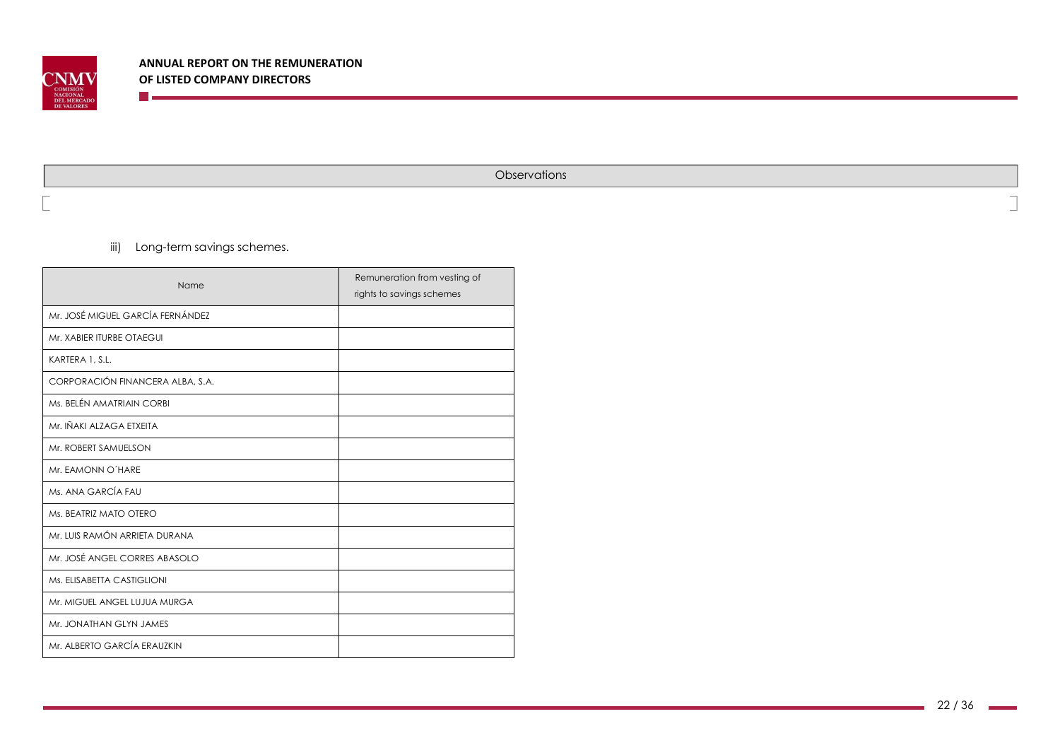

**Observations** 

iii) Long-term savings schemes.

**The Co** 

| Name                             | Remuneration from vesting of<br>rights to savings schemes |
|----------------------------------|-----------------------------------------------------------|
| Mr. JOSÉ MIGUEL GARCÍA FERNÁNDEZ |                                                           |
| Mr. XABIER ITURBE OTAEGUI        |                                                           |
| KARTERA 1, S.L.                  |                                                           |
| CORPORACIÓN FINANCERA ALBA, S.A. |                                                           |
| Ms. BELÉN AMATRIAIN CORBI        |                                                           |
| Mr. IÑAKI ALZAGA ETXEITA         |                                                           |
| Mr. ROBERT SAMUELSON             |                                                           |
| Mr. EAMONN O'HARE                |                                                           |
| Ms. ANA GARCÍA FAU               |                                                           |
| Ms. BEATRIZ MATO OTERO           |                                                           |
| Mr. LUIS RAMÓN ARRIETA DURANA    |                                                           |
| Mr. JOSÉ ANGEL CORRES ABASOLO    |                                                           |
| Ms. ELISABETTA CASTIGLIONI       |                                                           |
| Mr. MIGUEL ANGEL LUJUA MURGA     |                                                           |
| Mr. JONATHAN GLYN JAMES          |                                                           |
| Mr. ALBERTO GARCÍA ERAUZKIN      |                                                           |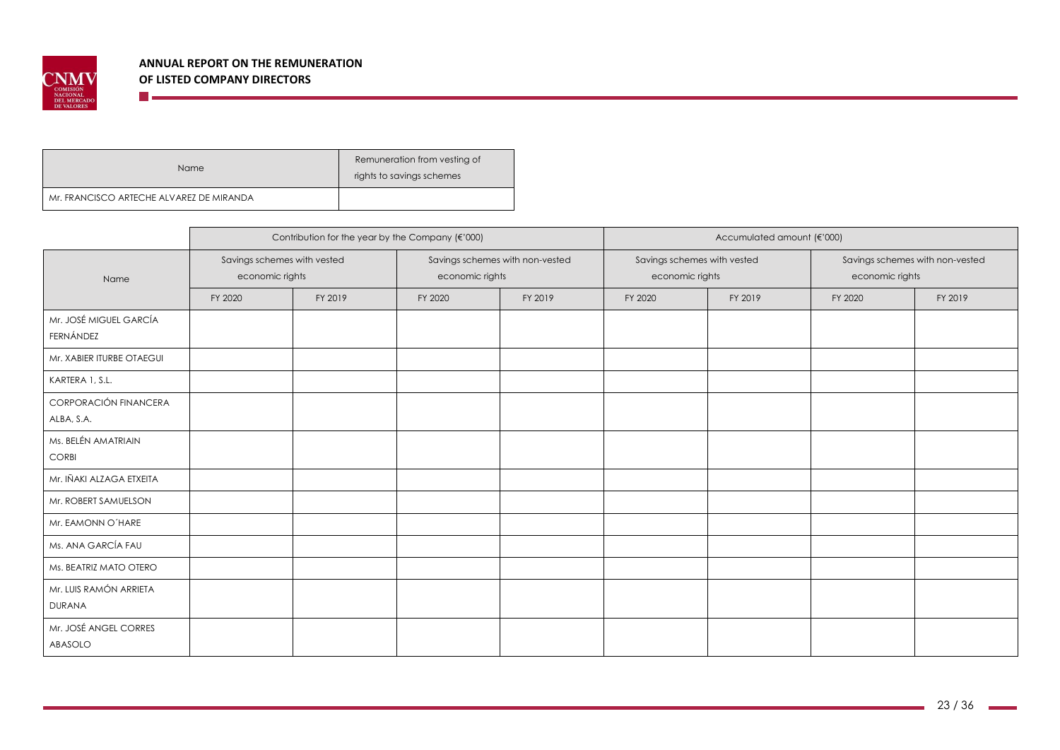

<u> The Communication of the Communication of</u>

| Name                                     | Remuneration from vesting of<br>rights to savings schemes |
|------------------------------------------|-----------------------------------------------------------|
| Mr. FRANCISCO ARTECHE ALVAREZ DE MIRANDA |                                                           |

|                                         |                                                | Contribution for the year by the Company (€'000) |                 |                                 | Accumulated amount (€'000)                     |         |                                                    |         |  |
|-----------------------------------------|------------------------------------------------|--------------------------------------------------|-----------------|---------------------------------|------------------------------------------------|---------|----------------------------------------------------|---------|--|
| Name                                    | Savings schemes with vested<br>economic rights |                                                  | economic rights | Savings schemes with non-vested | Savings schemes with vested<br>economic rights |         | Savings schemes with non-vested<br>economic rights |         |  |
|                                         | FY 2020                                        | FY 2019                                          | FY 2020         | FY 2019                         | FY 2020                                        | FY 2019 | FY 2020                                            | FY 2019 |  |
| Mr. JOSÉ MIGUEL GARCÍA<br>FERNÁNDEZ     |                                                |                                                  |                 |                                 |                                                |         |                                                    |         |  |
| Mr. XABIER ITURBE OTAEGUI               |                                                |                                                  |                 |                                 |                                                |         |                                                    |         |  |
| KARTERA 1, S.L.                         |                                                |                                                  |                 |                                 |                                                |         |                                                    |         |  |
| CORPORACIÓN FINANCERA<br>ALBA, S.A.     |                                                |                                                  |                 |                                 |                                                |         |                                                    |         |  |
| Ms. BELÉN AMATRIAIN<br><b>CORBI</b>     |                                                |                                                  |                 |                                 |                                                |         |                                                    |         |  |
| Mr. IÑAKI ALZAGA ETXEITA                |                                                |                                                  |                 |                                 |                                                |         |                                                    |         |  |
| Mr. ROBERT SAMUELSON                    |                                                |                                                  |                 |                                 |                                                |         |                                                    |         |  |
| Mr. EAMONN O'HARE                       |                                                |                                                  |                 |                                 |                                                |         |                                                    |         |  |
| Ms. ANA GARCÍA FAU                      |                                                |                                                  |                 |                                 |                                                |         |                                                    |         |  |
| Ms. BEATRIZ MATO OTERO                  |                                                |                                                  |                 |                                 |                                                |         |                                                    |         |  |
| Mr. LUIS RAMÓN ARRIETA<br><b>DURANA</b> |                                                |                                                  |                 |                                 |                                                |         |                                                    |         |  |
| Mr. JOSÉ ANGEL CORRES<br>ABASOLO        |                                                |                                                  |                 |                                 |                                                |         |                                                    |         |  |

and the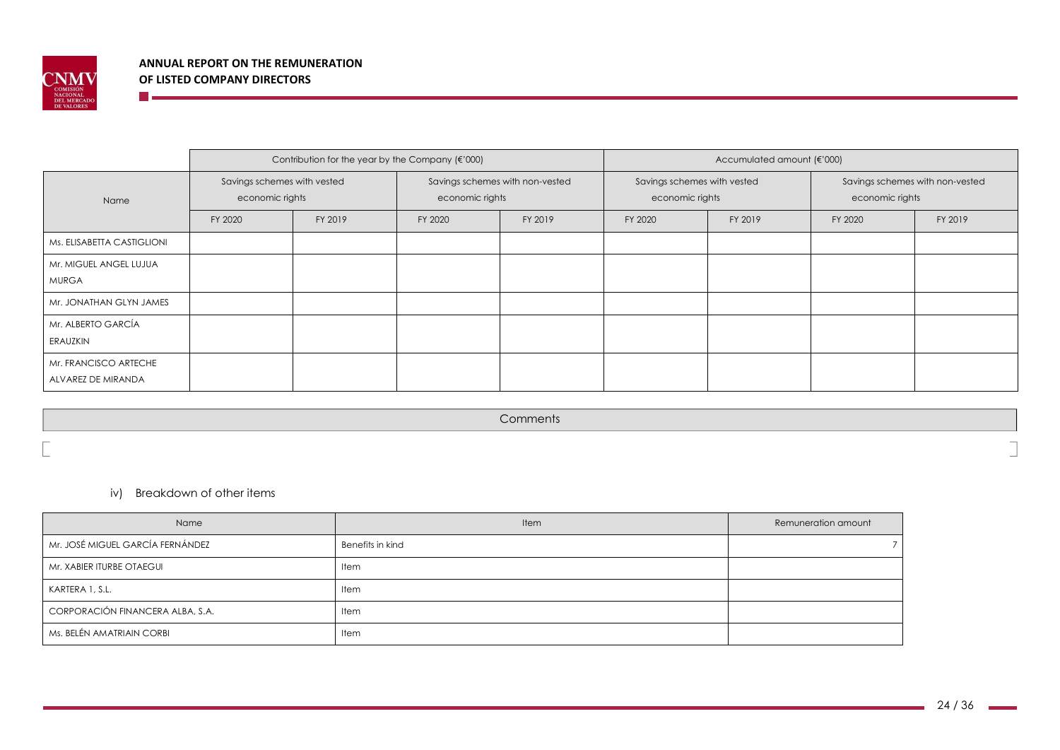

**The Company** 

|                                             |                                                | Contribution for the year by the Company (€'000) |                 |                                 | Accumulated amount (€'000)                     |         |                                                    |         |  |
|---------------------------------------------|------------------------------------------------|--------------------------------------------------|-----------------|---------------------------------|------------------------------------------------|---------|----------------------------------------------------|---------|--|
| Name                                        | Savings schemes with vested<br>economic rights |                                                  | economic rights | Savings schemes with non-vested | Savings schemes with vested<br>economic rights |         | Savings schemes with non-vested<br>economic rights |         |  |
|                                             | FY 2020                                        | FY 2019                                          | FY 2020         | FY 2019                         | FY 2020                                        | FY 2019 | FY 2020                                            | FY 2019 |  |
| Ms. ELISABETTA CASTIGLIONI                  |                                                |                                                  |                 |                                 |                                                |         |                                                    |         |  |
| Mr. MIGUEL ANGEL LUJUA<br><b>MURGA</b>      |                                                |                                                  |                 |                                 |                                                |         |                                                    |         |  |
| Mr. JONATHAN GLYN JAMES                     |                                                |                                                  |                 |                                 |                                                |         |                                                    |         |  |
| Mr. ALBERTO GARCÍA<br>ERAUZKIN              |                                                |                                                  |                 |                                 |                                                |         |                                                    |         |  |
| Mr. FRANCISCO ARTECHE<br>ALVAREZ DE MIRANDA |                                                |                                                  |                 |                                 |                                                |         |                                                    |         |  |

**Comments** 

iv) Breakdown of other items

| Name                             | Item             | Remuneration amount |
|----------------------------------|------------------|---------------------|
| Mr. JOSÉ MIGUEL GARCÍA FERNÁNDEZ | Benefits in kind |                     |
| Mr. XABIER ITURBE OTAEGUI        | Item             |                     |
| KARTERA 1, S.L.                  | Item             |                     |
| CORPORACIÓN FINANCERA ALBA, S.A. | Item             |                     |
| Ms. BELÉN AMATRIAIN CORBI        | Item             |                     |

٦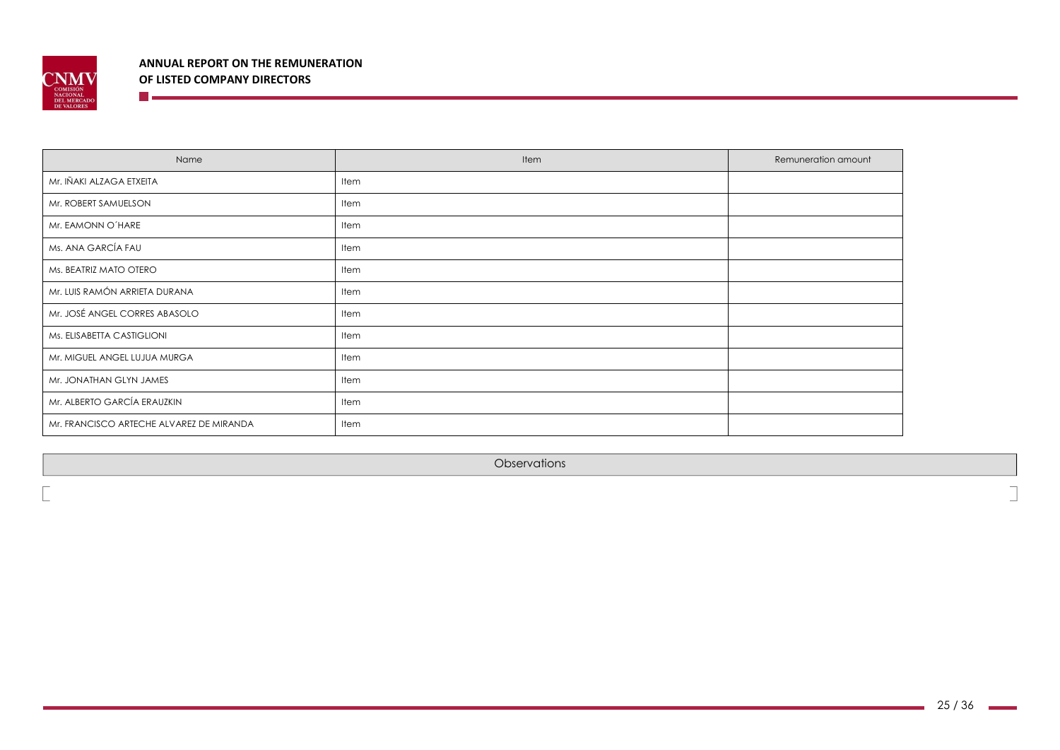

**The Communist Communist Communist Communist Communist Communist Communist Communist Communist Communist Communist** 

| Name                                     | Item | Remuneration amount |
|------------------------------------------|------|---------------------|
| Mr. IÑAKI ALZAGA ETXEITA                 | Item |                     |
| Mr. ROBERT SAMUELSON                     | Item |                     |
| Mr. EAMONN O'HARE                        | Item |                     |
| Ms. ANA GARCÍA FAU                       | Item |                     |
| Ms. BEATRIZ MATO OTERO                   | Item |                     |
| Mr. LUIS RAMÓN ARRIETA DURANA            | Item |                     |
| Mr. JOSÉ ANGEL CORRES ABASOLO            | Item |                     |
| Ms. ELISABETTA CASTIGLIONI               | Item |                     |
| Mr. MIGUEL ANGEL LUJUA MURGA             | Item |                     |
| Mr. JONATHAN GLYN JAMES                  | Item |                     |
| Mr. ALBERTO GARCÍA ERAUZKIN              | Item |                     |
| Mr. FRANCISCO ARTECHE ALVAREZ DE MIRANDA | Item |                     |

**Observations**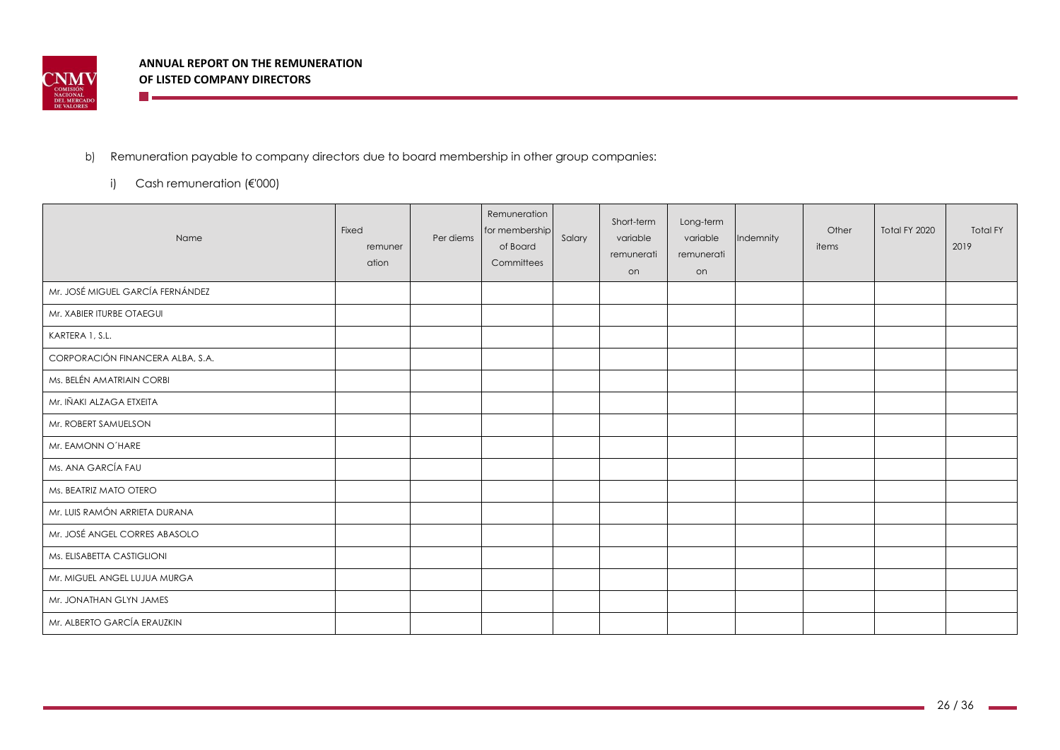

# b) Remuneration payable to company directors due to board membership in other group companies:

i) Cash remuneration (€'000)

**The community of the State State** 

| Name                             | Fixed<br>remuner<br>ation | Per diems | Remuneration<br>for membership<br>of Board<br>Committees | Salary | Short-term<br>variable<br>remunerati<br>on | Long-term<br>variable<br>remunerati<br>on | Indemnity | Other<br>items | Total FY 2020 | <b>Total FY</b><br>2019 |
|----------------------------------|---------------------------|-----------|----------------------------------------------------------|--------|--------------------------------------------|-------------------------------------------|-----------|----------------|---------------|-------------------------|
| Mr. JOSÉ MIGUEL GARCÍA FERNÁNDEZ |                           |           |                                                          |        |                                            |                                           |           |                |               |                         |
| Mr. XABIER ITURBE OTAEGUI        |                           |           |                                                          |        |                                            |                                           |           |                |               |                         |
| KARTERA 1, S.L.                  |                           |           |                                                          |        |                                            |                                           |           |                |               |                         |
| CORPORACIÓN FINANCERA ALBA, S.A. |                           |           |                                                          |        |                                            |                                           |           |                |               |                         |
| Ms. BELÉN AMATRIAIN CORBI        |                           |           |                                                          |        |                                            |                                           |           |                |               |                         |
| Mr. IÑAKI ALZAGA ETXEITA         |                           |           |                                                          |        |                                            |                                           |           |                |               |                         |
| Mr. ROBERT SAMUELSON             |                           |           |                                                          |        |                                            |                                           |           |                |               |                         |
| Mr. EAMONN O'HARE                |                           |           |                                                          |        |                                            |                                           |           |                |               |                         |
| Ms. ANA GARCÍA FAU               |                           |           |                                                          |        |                                            |                                           |           |                |               |                         |
| Ms. BEATRIZ MATO OTERO           |                           |           |                                                          |        |                                            |                                           |           |                |               |                         |
| Mr. LUIS RAMÓN ARRIETA DURANA    |                           |           |                                                          |        |                                            |                                           |           |                |               |                         |
| Mr. JOSÉ ANGEL CORRES ABASOLO    |                           |           |                                                          |        |                                            |                                           |           |                |               |                         |
| Ms. ELISABETTA CASTIGLIONI       |                           |           |                                                          |        |                                            |                                           |           |                |               |                         |
| Mr. MIGUEL ANGEL LUJUA MURGA     |                           |           |                                                          |        |                                            |                                           |           |                |               |                         |
| Mr. JONATHAN GLYN JAMES          |                           |           |                                                          |        |                                            |                                           |           |                |               |                         |
| Mr. ALBERTO GARCÍA ERAUZKIN      |                           |           |                                                          |        |                                            |                                           |           |                |               |                         |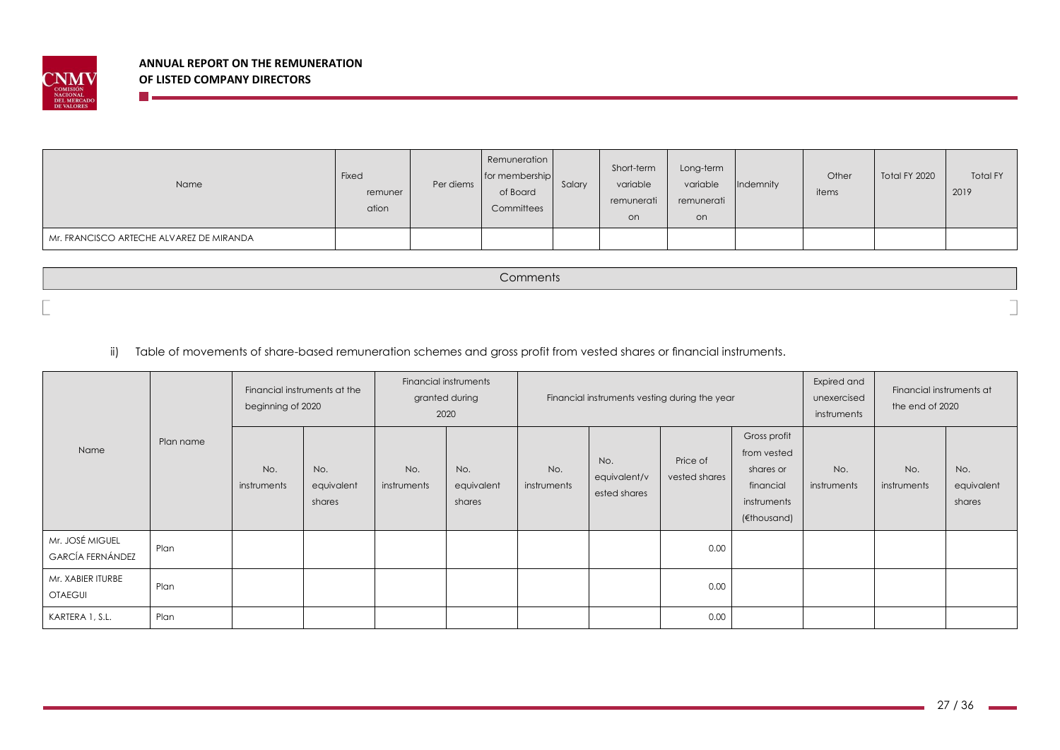

n e

| Name                                     | Fixed<br>remuner<br>ation | Per diems | Remuneration<br>for membership<br>of Board<br>Committees | Salary | Short-term<br>variable<br>remunerati<br>on | Long-term<br>variable<br>remunerati<br>on | Indemnity | Other<br>items | Total FY 2020 | <b>Total FY</b><br>2019 |
|------------------------------------------|---------------------------|-----------|----------------------------------------------------------|--------|--------------------------------------------|-------------------------------------------|-----------|----------------|---------------|-------------------------|
| Mr. FRANCISCO ARTECHE ALVAREZ DE MIRANDA |                           |           |                                                          |        |                                            |                                           |           |                |               |                         |

Comments

ii) Table of movements of share-based remuneration schemes and gross profit from vested shares or financial instruments.

|                                            |           | Financial instruments at the<br>beginning of 2020 |                             |                    | Financial instruments<br>granted during<br>2020 |                    | Financial instruments vesting during the year |                           |                                                                                     |                    | Financial instruments at<br>the end of 2020 |                             |
|--------------------------------------------|-----------|---------------------------------------------------|-----------------------------|--------------------|-------------------------------------------------|--------------------|-----------------------------------------------|---------------------------|-------------------------------------------------------------------------------------|--------------------|---------------------------------------------|-----------------------------|
| Name                                       | Plan name | No.<br>instruments                                | No.<br>equivalent<br>shares | No.<br>instruments | No.<br>equivalent<br>shares                     | No.<br>instruments | No.<br>equivalent/v<br>ested shares           | Price of<br>vested shares | Gross profit<br>from vested<br>shares or<br>financial<br>instruments<br>(€thousand) | No.<br>instruments | No.<br>instruments                          | No.<br>equivalent<br>shares |
| Mr. JOSÉ MIGUEL<br><b>GARCÍA FERNÁNDEZ</b> | Plan      |                                                   |                             |                    |                                                 |                    |                                               | 0.00                      |                                                                                     |                    |                                             |                             |
| Mr. XABIER ITURBE<br><b>OTAEGUI</b>        | Plan      |                                                   |                             |                    |                                                 |                    |                                               | 0.00                      |                                                                                     |                    |                                             |                             |
| KARTERA 1, S.L.                            | Plan      |                                                   |                             |                    |                                                 |                    |                                               | 0.00                      |                                                                                     |                    |                                             |                             |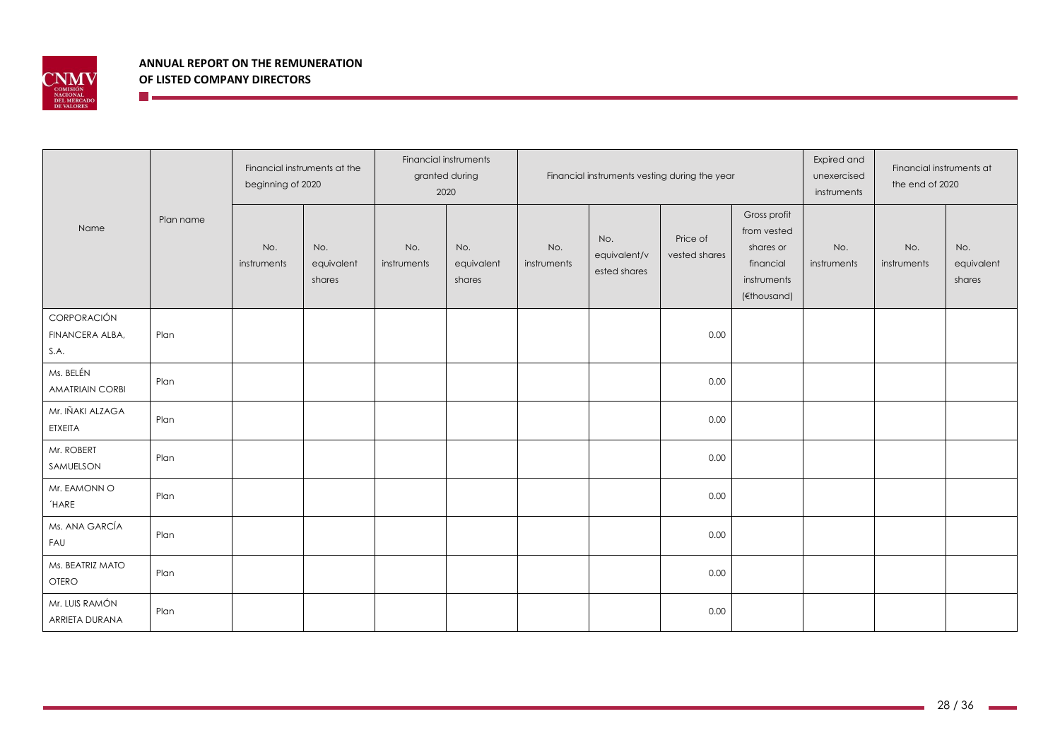

<u> Martin Barbara (</u>

|                                        |           | Financial instruments at the<br>beginning of 2020 |                             | Financial instruments<br>granted during<br>2020 |                             |                    |                                     | Financial instruments vesting during the year | Expired and<br>unexercised<br>instruments                                           | Financial instruments at<br>the end of 2020 |                    |                             |
|----------------------------------------|-----------|---------------------------------------------------|-----------------------------|-------------------------------------------------|-----------------------------|--------------------|-------------------------------------|-----------------------------------------------|-------------------------------------------------------------------------------------|---------------------------------------------|--------------------|-----------------------------|
| Name                                   | Plan name | No.<br>instruments                                | No.<br>equivalent<br>shares | No.<br>instruments                              | No.<br>equivalent<br>shares | No.<br>instruments | No.<br>equivalent/v<br>ested shares | Price of<br>vested shares                     | Gross profit<br>from vested<br>shares or<br>financial<br>instruments<br>(€thousand) | No.<br>instruments                          | No.<br>instruments | No.<br>equivalent<br>shares |
| CORPORACIÓN<br>FINANCERA ALBA,<br>S.A. | Plan      |                                                   |                             |                                                 |                             |                    |                                     | 0.00                                          |                                                                                     |                                             |                    |                             |
| Ms. BELÉN<br><b>AMATRIAIN CORBI</b>    | Plan      |                                                   |                             |                                                 |                             |                    |                                     | 0.00                                          |                                                                                     |                                             |                    |                             |
| Mr. IÑAKI ALZAGA<br>ETXEITA            | Plan      |                                                   |                             |                                                 |                             |                    |                                     | 0.00                                          |                                                                                     |                                             |                    |                             |
| Mr. ROBERT<br>SAMUELSON                | Plan      |                                                   |                             |                                                 |                             |                    |                                     | 0.00                                          |                                                                                     |                                             |                    |                             |
| Mr. EAMONN O<br><b>HARE</b>            | Plan      |                                                   |                             |                                                 |                             |                    |                                     | 0.00                                          |                                                                                     |                                             |                    |                             |
| Ms. ANA GARCÍA<br>FAU                  | Plan      |                                                   |                             |                                                 |                             |                    |                                     | 0.00                                          |                                                                                     |                                             |                    |                             |
| Ms. BEATRIZ MATO<br>OTERO              | Plan      |                                                   |                             |                                                 |                             |                    |                                     | 0.00                                          |                                                                                     |                                             |                    |                             |
| Mr. LUIS RAMÓN<br>ARRIETA DURANA       | Plan      |                                                   |                             |                                                 |                             |                    |                                     | 0.00                                          |                                                                                     |                                             |                    |                             |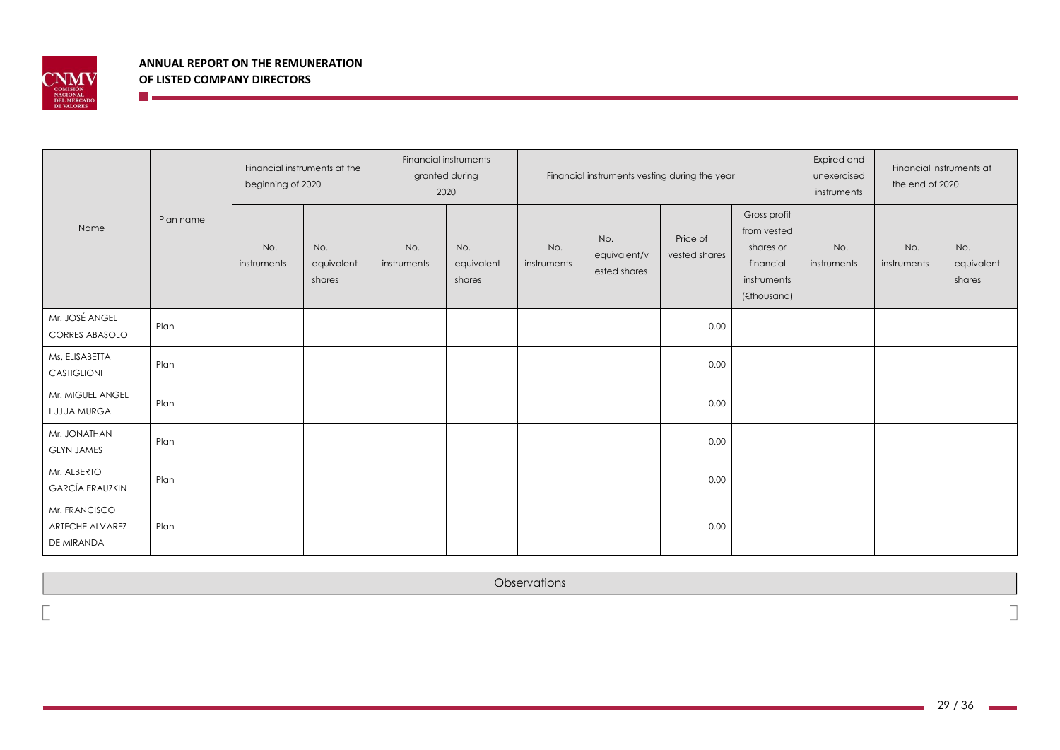

<u>ra a</u>

|                                                |      | Financial instruments at the<br>beginning of 2020 |                             | Financial instruments<br>granted during<br>2020 |                             |                    |                                     | Financial instruments vesting during the year | Expired and<br>unexercised<br>instruments                                           | Financial instruments at<br>the end of 2020 |                    |                             |
|------------------------------------------------|------|---------------------------------------------------|-----------------------------|-------------------------------------------------|-----------------------------|--------------------|-------------------------------------|-----------------------------------------------|-------------------------------------------------------------------------------------|---------------------------------------------|--------------------|-----------------------------|
| Plan name<br>Name                              |      | No.<br>instruments                                | No.<br>equivalent<br>shares | No.<br>instruments                              | No.<br>equivalent<br>shares | No.<br>instruments | No.<br>equivalent/v<br>ested shares | Price of<br>vested shares                     | Gross profit<br>from vested<br>shares or<br>financial<br>instruments<br>(€thousand) | No.<br>instruments                          | No.<br>instruments | No.<br>equivalent<br>shares |
| Mr. JOSÉ ANGEL<br><b>CORRES ABASOLO</b>        | Plan |                                                   |                             |                                                 |                             |                    |                                     | 0.00                                          |                                                                                     |                                             |                    |                             |
| Ms. ELISABETTA<br><b>CASTIGLIONI</b>           | Plan |                                                   |                             |                                                 |                             |                    |                                     | 0.00                                          |                                                                                     |                                             |                    |                             |
| Mr. MIGUEL ANGEL<br>LUJUA MURGA                | Plan |                                                   |                             |                                                 |                             |                    |                                     | 0.00                                          |                                                                                     |                                             |                    |                             |
| Mr. JONATHAN<br><b>GLYN JAMES</b>              | Plan |                                                   |                             |                                                 |                             |                    |                                     | 0.00                                          |                                                                                     |                                             |                    |                             |
| Mr. ALBERTO<br><b>GARCÍA ERAUZKIN</b>          | Plan |                                                   |                             |                                                 |                             |                    |                                     | 0.00                                          |                                                                                     |                                             |                    |                             |
| Mr. FRANCISCO<br>ARTECHE ALVAREZ<br>DE MIRANDA | Plan |                                                   |                             |                                                 |                             |                    |                                     | 0.00                                          |                                                                                     |                                             |                    |                             |

**Observations**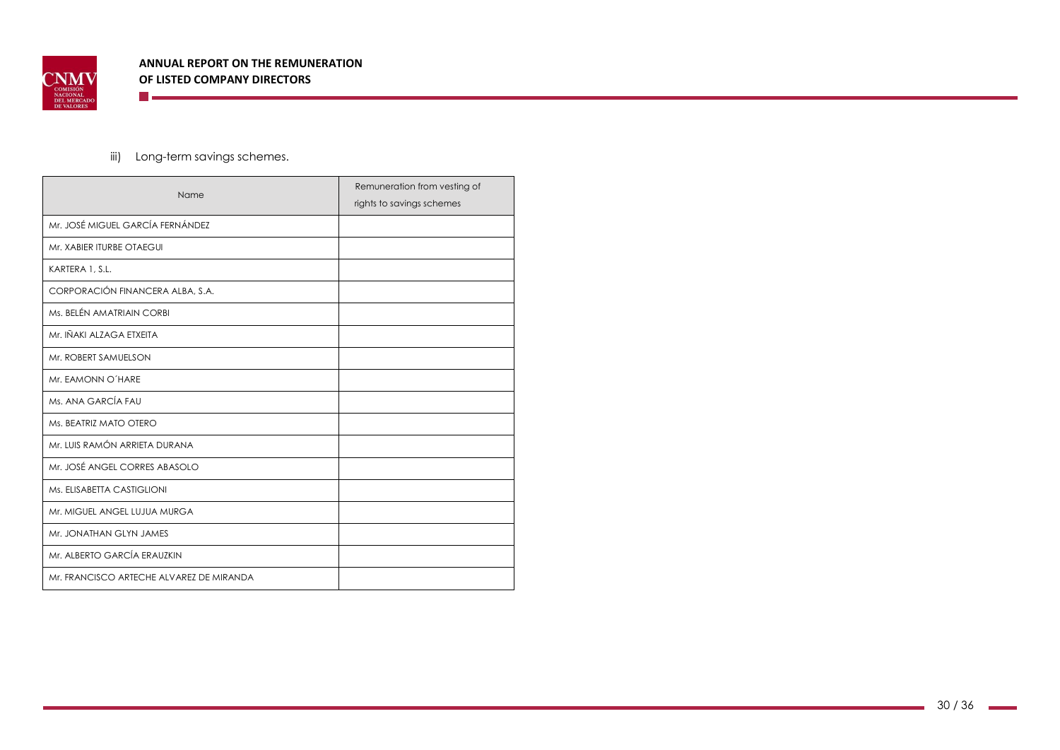

iii) Long-term savings schemes.

**The Communication** 

| Name                                     | Remuneration from vesting of<br>rights to savings schemes |
|------------------------------------------|-----------------------------------------------------------|
| Mr. JOSÉ MIGUEL GARCÍA FERNÁNDEZ         |                                                           |
| Mr. XABIER ITURBE OTAEGUI                |                                                           |
| KARTERA 1, S.L.                          |                                                           |
| CORPORACIÓN FINANCERA ALBA, S.A.         |                                                           |
| Ms. BELÉN AMATRIAIN CORBI                |                                                           |
| Mr. IÑAKI ALZAGA ETXEITA                 |                                                           |
| Mr. ROBERT SAMUELSON                     |                                                           |
| Mr. EAMONN O'HARE                        |                                                           |
| Ms. ANA GARCÍA FAU                       |                                                           |
| Ms. BEATRIZ MATO OTERO                   |                                                           |
| Mr. LUIS RAMÓN ARRIETA DURANA            |                                                           |
| Mr. JOSÉ ANGEL CORRES ABASOLO            |                                                           |
| Ms. ELISABETTA CASTIGLIONI               |                                                           |
| Mr. MIGUEL ANGEL LUJUA MURGA             |                                                           |
| Mr. JONATHAN GLYN JAMES                  |                                                           |
| Mr. ALBERTO GARCÍA ERAUZKIN              |                                                           |
| Mr. FRANCISCO ARTECHE ALVAREZ DE MIRANDA |                                                           |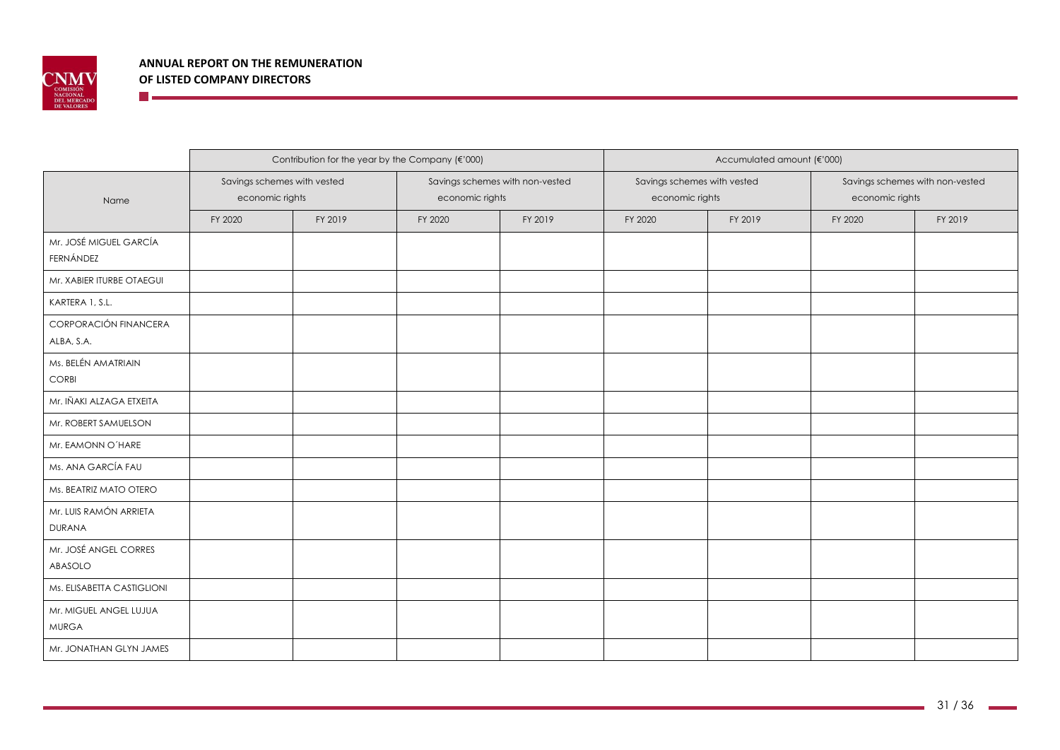

<u> The Communication of the Communication of</u>

|                                        |                                                | Contribution for the year by the Company (€'000) |                 |                                 | Accumulated amount (€'000)                     |         |                                                    |         |  |  |
|----------------------------------------|------------------------------------------------|--------------------------------------------------|-----------------|---------------------------------|------------------------------------------------|---------|----------------------------------------------------|---------|--|--|
| Name                                   | Savings schemes with vested<br>economic rights |                                                  | economic rights | Savings schemes with non-vested | Savings schemes with vested<br>economic rights |         | Savings schemes with non-vested<br>economic rights |         |  |  |
|                                        | FY 2020                                        | FY 2019                                          | FY 2020         | FY 2019                         | FY 2020                                        | FY 2019 | FY 2020                                            | FY 2019 |  |  |
| Mr. JOSÉ MIGUEL GARCÍA<br>FERNÁNDEZ    |                                                |                                                  |                 |                                 |                                                |         |                                                    |         |  |  |
| Mr. XABIER ITURBE OTAEGUI              |                                                |                                                  |                 |                                 |                                                |         |                                                    |         |  |  |
| KARTERA 1, S.L.                        |                                                |                                                  |                 |                                 |                                                |         |                                                    |         |  |  |
| CORPORACIÓN FINANCERA<br>ALBA, S.A.    |                                                |                                                  |                 |                                 |                                                |         |                                                    |         |  |  |
| Ms. BELÉN AMATRIAIN<br>CORBI           |                                                |                                                  |                 |                                 |                                                |         |                                                    |         |  |  |
| Mr. IÑAKI ALZAGA ETXEITA               |                                                |                                                  |                 |                                 |                                                |         |                                                    |         |  |  |
| Mr. ROBERT SAMUELSON                   |                                                |                                                  |                 |                                 |                                                |         |                                                    |         |  |  |
| Mr. EAMONN O'HARE                      |                                                |                                                  |                 |                                 |                                                |         |                                                    |         |  |  |
| Ms. ANA GARCÍA FAU                     |                                                |                                                  |                 |                                 |                                                |         |                                                    |         |  |  |
| Ms. BEATRIZ MATO OTERO                 |                                                |                                                  |                 |                                 |                                                |         |                                                    |         |  |  |
| Mr. LUIS RAMÓN ARRIETA<br>DURANA       |                                                |                                                  |                 |                                 |                                                |         |                                                    |         |  |  |
| Mr. JOSÉ ANGEL CORRES<br>ABASOLO       |                                                |                                                  |                 |                                 |                                                |         |                                                    |         |  |  |
| Ms. ELISABETTA CASTIGLIONI             |                                                |                                                  |                 |                                 |                                                |         |                                                    |         |  |  |
| Mr. MIGUEL ANGEL LUJUA<br><b>MURGA</b> |                                                |                                                  |                 |                                 |                                                |         |                                                    |         |  |  |
| Mr. JONATHAN GLYN JAMES                |                                                |                                                  |                 |                                 |                                                |         |                                                    |         |  |  |

-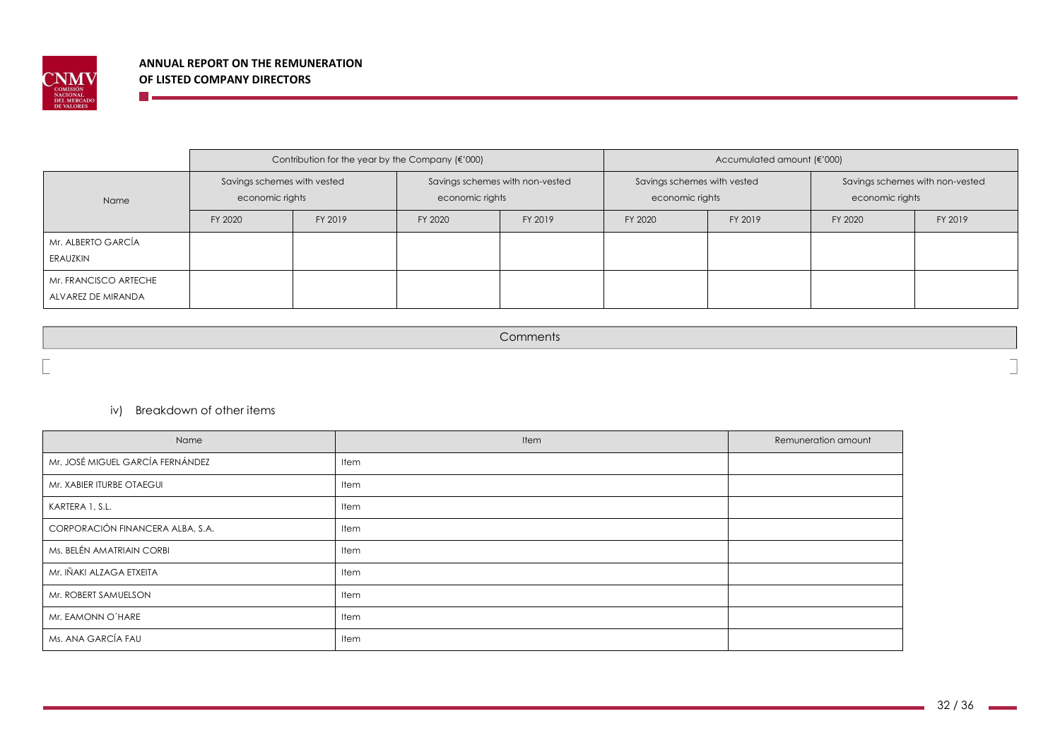

**The Company** 

|                                             |                                                | Contribution for the year by the Company $(\epsilon' 000)$ |                 |                                 | Accumulated amount (€'000)                     |         |                                                    |         |  |  |
|---------------------------------------------|------------------------------------------------|------------------------------------------------------------|-----------------|---------------------------------|------------------------------------------------|---------|----------------------------------------------------|---------|--|--|
| Name                                        | Savings schemes with vested<br>economic rights |                                                            | economic rights | Savings schemes with non-vested | Savings schemes with vested<br>economic rights |         | Savings schemes with non-vested<br>economic rights |         |  |  |
|                                             | FY 2020                                        | FY 2019                                                    | FY 2020         | FY 2019                         | FY 2020                                        | FY 2019 | FY 2020                                            | FY 2019 |  |  |
| Mr. ALBERTO GARCÍA<br>ERAUZKIN              |                                                |                                                            |                 |                                 |                                                |         |                                                    |         |  |  |
| Mr. FRANCISCO ARTECHE<br>ALVAREZ DE MIRANDA |                                                |                                                            |                 |                                 |                                                |         |                                                    |         |  |  |

**Comments** 

### iv) Breakdown of other items

| Name                             | Item        | Remuneration amount |
|----------------------------------|-------------|---------------------|
| Mr. JOSÉ MIGUEL GARCÍA FERNÁNDEZ | Item        |                     |
| Mr. XABIER ITURBE OTAEGUI        | Item        |                     |
| KARTERA 1, S.L.                  | <b>Item</b> |                     |
| CORPORACIÓN FINANCERA ALBA, S.A. | Item        |                     |
| Ms. BELÉN AMATRIAIN CORBI        | Item        |                     |
| Mr. IÑAKI ALZAGA ETXEITA         | Item        |                     |
| Mr. ROBERT SAMUELSON             | Item        |                     |
| Mr. EAMONN O'HARE                | Item        |                     |
| Ms. ANA GARCÍA FAU               | Item        |                     |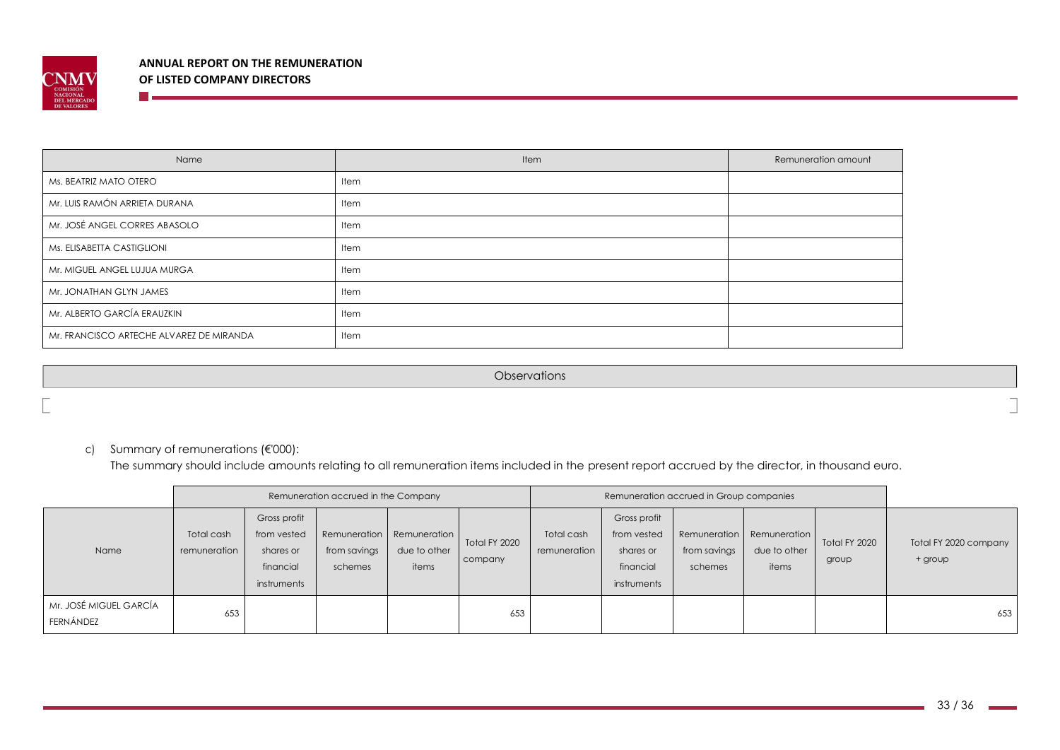

<u> The Communication of the Communication of</u>

| Name                                     | Item        | Remuneration amount |
|------------------------------------------|-------------|---------------------|
| Ms. BEATRIZ MATO OTERO                   | <b>Item</b> |                     |
| Mr. LUIS RAMÓN ARRIETA DURANA            | Item        |                     |
| Mr. JOSÉ ANGEL CORRES ABASOLO            | Item        |                     |
| Ms. ELISABETTA CASTIGLIONI               | Item        |                     |
| Mr. MIGUEL ANGEL LUJUA MURGA             | <b>Item</b> |                     |
| Mr. JONATHAN GLYN JAMES                  | Item        |                     |
| Mr. ALBERTO GARCÍA ERAUZKIN              | Item        |                     |
| Mr. FRANCISCO ARTECHE ALVAREZ DE MIRANDA | Item        |                     |

**Observations** 

### c) Summary of remunerations (€'000):

The summary should include amounts relating to all remuneration items included in the present report accrued by the director, in thousand euro.

|                                     |                            |                                                                      | Remuneration accrued in the Company |                                                    |                          | Remuneration accrued in Group companies |                                                                      |                                         |                                       |                        |                                  |
|-------------------------------------|----------------------------|----------------------------------------------------------------------|-------------------------------------|----------------------------------------------------|--------------------------|-----------------------------------------|----------------------------------------------------------------------|-----------------------------------------|---------------------------------------|------------------------|----------------------------------|
| Name                                | Total cash<br>remuneration | Gross profit<br>from vested<br>shares or<br>financial<br>instruments | from savings<br>schemes             | Remuneration Remuneration<br>due to other<br>items | Total FY 2020<br>company | Total cash<br>remuneration              | Gross profit<br>from vested<br>shares or<br>financial<br>instruments | Remuneration<br>from savings<br>schemes | Remuneration<br>due to other<br>items | Total FY 2020<br>group | Total FY 2020 company<br>+ group |
| Mr. JOSÉ MIGUEL GARCÍA<br>FERNÁNDEZ | 653                        |                                                                      |                                     |                                                    | 653                      |                                         |                                                                      |                                         |                                       |                        | 653                              |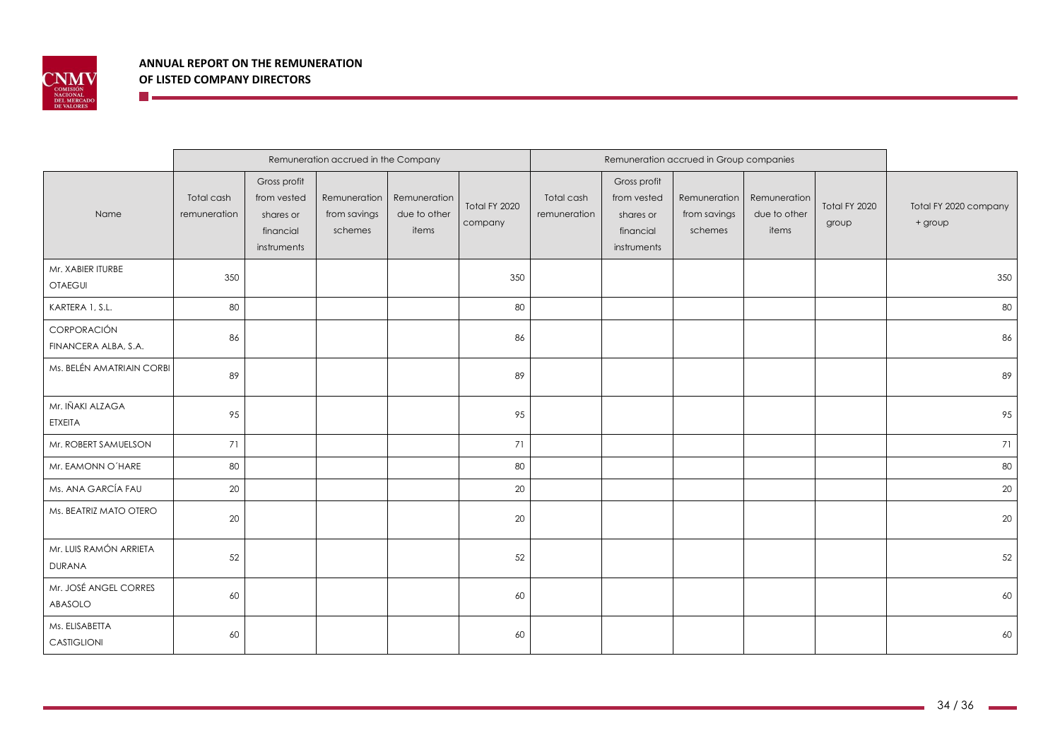

**The Community** 

|                                         |                            | Remuneration accrued in the Company                                  |                                         |                                       |                          |                            | Remuneration accrued in Group companies                              |                                         |                                       |                        |                                  |
|-----------------------------------------|----------------------------|----------------------------------------------------------------------|-----------------------------------------|---------------------------------------|--------------------------|----------------------------|----------------------------------------------------------------------|-----------------------------------------|---------------------------------------|------------------------|----------------------------------|
| Name                                    | Total cash<br>remuneration | Gross profit<br>from vested<br>shares or<br>financial<br>instruments | Remuneration<br>from savings<br>schemes | Remuneration<br>due to other<br>items | Total FY 2020<br>company | Total cash<br>remuneration | Gross profit<br>from vested<br>shares or<br>financial<br>instruments | Remuneration<br>from savings<br>schemes | Remuneration<br>due to other<br>items | Total FY 2020<br>group | Total FY 2020 company<br>+ group |
| Mr. XABIER ITURBE<br><b>OTAEGUI</b>     | 350                        |                                                                      |                                         |                                       | 350                      |                            |                                                                      |                                         |                                       |                        | 350                              |
| KARTERA 1, S.L.                         | 80                         |                                                                      |                                         |                                       | 80                       |                            |                                                                      |                                         |                                       |                        | 80                               |
| CORPORACIÓN<br>FINANCERA ALBA, S.A.     | 86                         |                                                                      |                                         |                                       | 86                       |                            |                                                                      |                                         |                                       |                        | 86                               |
| Ms. BELÉN AMATRIAIN CORBI               | 89                         |                                                                      |                                         |                                       | 89                       |                            |                                                                      |                                         |                                       |                        | 89                               |
| Mr. IÑAKI ALZAGA<br><b>ETXEITA</b>      | 95                         |                                                                      |                                         |                                       | 95                       |                            |                                                                      |                                         |                                       |                        | 95                               |
| Mr. ROBERT SAMUELSON                    | 71                         |                                                                      |                                         |                                       | 71                       |                            |                                                                      |                                         |                                       |                        | 71                               |
| Mr. EAMONN O'HARE                       | 80                         |                                                                      |                                         |                                       | 80                       |                            |                                                                      |                                         |                                       |                        | 80                               |
| Ms. ANA GARCÍA FAU                      | 20                         |                                                                      |                                         |                                       | 20                       |                            |                                                                      |                                         |                                       |                        | 20                               |
| Ms. BEATRIZ MATO OTERO                  | 20                         |                                                                      |                                         |                                       | 20                       |                            |                                                                      |                                         |                                       |                        | 20                               |
| Mr. LUIS RAMÓN ARRIETA<br><b>DURANA</b> | 52                         |                                                                      |                                         |                                       | 52                       |                            |                                                                      |                                         |                                       |                        | 52                               |
| Mr. JOSÉ ANGEL CORRES<br>ABASOLO        | 60                         |                                                                      |                                         |                                       | 60                       |                            |                                                                      |                                         |                                       |                        | 60                               |
| Ms. ELISABETTA<br>CASTIGLIONI           | 60                         |                                                                      |                                         |                                       | 60                       |                            |                                                                      |                                         |                                       |                        | 60                               |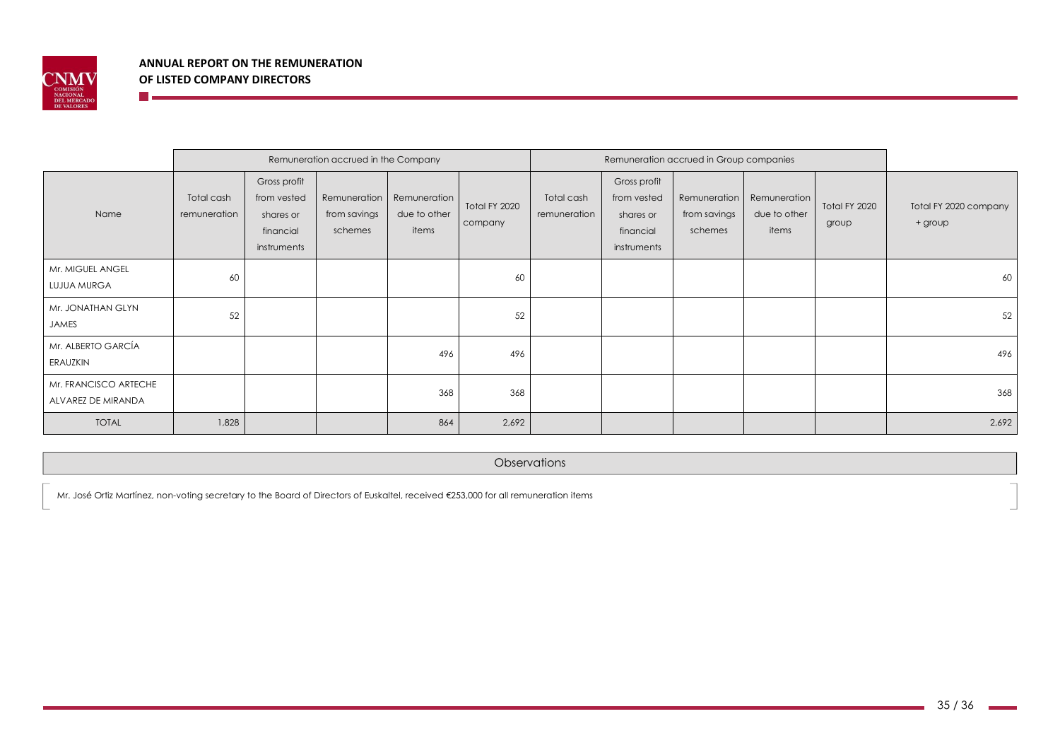

**The Co** 

|                                             | Remuneration accrued in the Company |                                                                      |                                         |                                       |                          | Remuneration accrued in Group companies |                                                                      |                                         |                                       |                        |                                  |
|---------------------------------------------|-------------------------------------|----------------------------------------------------------------------|-----------------------------------------|---------------------------------------|--------------------------|-----------------------------------------|----------------------------------------------------------------------|-----------------------------------------|---------------------------------------|------------------------|----------------------------------|
| Name                                        | Total cash<br>remuneration          | Gross profit<br>from vested<br>shares or<br>financial<br>instruments | Remuneration<br>from savings<br>schemes | Remuneration<br>due to other<br>items | Total FY 2020<br>company | Total cash<br>remuneration              | Gross profit<br>from vested<br>shares or<br>financial<br>instruments | Remuneration<br>from savings<br>schemes | Remuneration<br>due to other<br>items | Total FY 2020<br>group | Total FY 2020 company<br>+ group |
| Mr. MIGUEL ANGEL<br>LUJUA MURGA             | 60                                  |                                                                      |                                         |                                       | 60                       |                                         |                                                                      |                                         |                                       |                        | 60                               |
| Mr. JONATHAN GLYN<br>JAMES                  | 52                                  |                                                                      |                                         |                                       | 52                       |                                         |                                                                      |                                         |                                       |                        | 52                               |
| Mr. ALBERTO GARCÍA<br>ERAUZKIN              |                                     |                                                                      |                                         | 496                                   | 496                      |                                         |                                                                      |                                         |                                       |                        | 496                              |
| Mr. FRANCISCO ARTECHE<br>ALVAREZ DE MIRANDA |                                     |                                                                      |                                         | 368                                   | 368                      |                                         |                                                                      |                                         |                                       |                        | 368                              |
| <b>TOTAL</b>                                | 1,828                               |                                                                      |                                         | 864                                   | 2,692                    |                                         |                                                                      |                                         |                                       |                        | 2,692                            |

**Observations** 

Mr. José Ortiz Martínez, non-voting secretary to the Board of Directors of Euskaltel, received €253,000 for all remuneration items